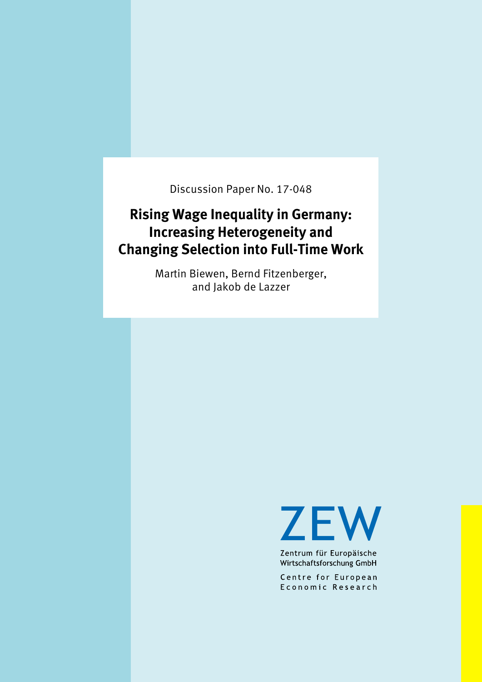Discussion Paper No. 17-048

# **Rising Wage Inequality in Germany: Increasing Heterogeneity and Changing Selection into Full-Time Work**

Martin Biewen, Bernd Fitzenberger, and Jakob de Lazzer

**ZEW** 

Zentrum für Europäische Wirtschaftsforschung GmbH

Centre for European Economic Research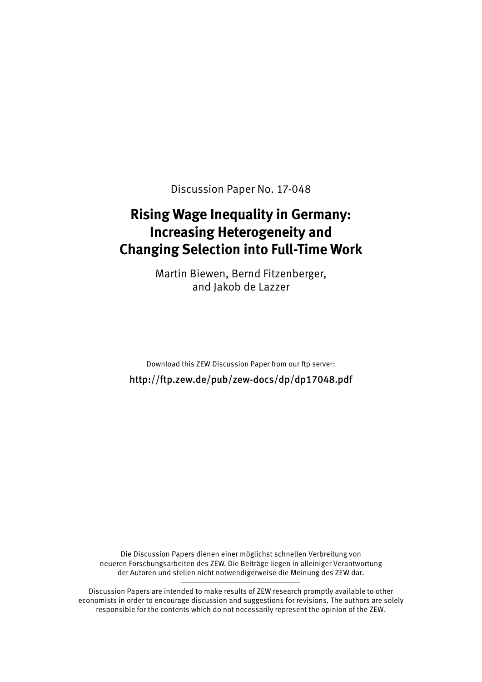Discussion Paper No. 17-048

# **Rising Wage Inequality in Germany: Increasing Heterogeneity and Changing Selection into Full-Time Work**

Martin Biewen, Bernd Fitzenberger, and Jakob de Lazzer

Download this ZEW Discussion Paper from our ftp server: http://ftp.zew.de/pub/zew-docs/dp/dp17048.pdf

Die Discussion Papers dienen einer möglichst schnellen Verbreitung von neueren Forschungsarbeiten des ZEW. Die Beiträge liegen in alleiniger Verantwortung der Autoren und stellen nicht notwendigerweise die Meinung des ZEW dar.

Discussion Papers are intended to make results of ZEW research promptly available to other economists in order to encourage discussion and suggestions for revisions. The authors are solely responsible for the contents which do not necessarily represent the opinion of the ZEW.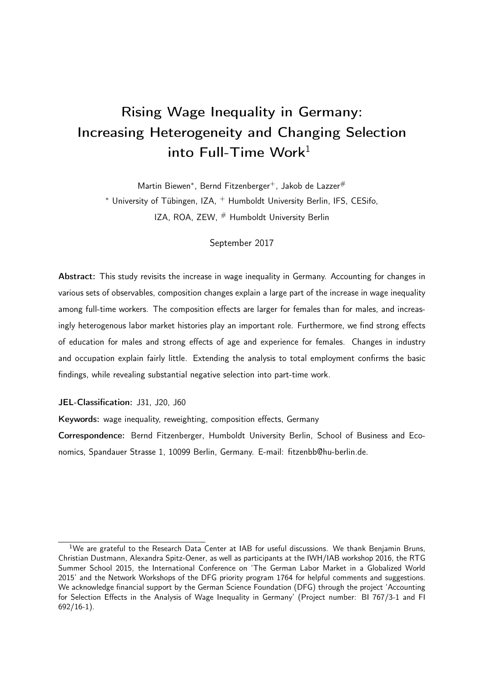# Rising Wage Inequality in Germany: Increasing Heterogeneity and Changing Selection into Full-Time Work $1$

Martin Biewen\*, Bernd Fitzenberger<sup>+</sup>, Jakob de Lazzer<sup>#</sup> <sup>∗</sup> University of Tübingen, IZA, <sup>+</sup> Humboldt University Berlin, IFS, CESifo, IZA, ROA, ZEW, # Humboldt University Berlin

#### September 2017

Abstract: This study revisits the increase in wage inequality in Germany. Accounting for changes in various sets of observables, composition changes explain a large part of the increase in wage inequality among full-time workers. The composition effects are larger for females than for males, and increasingly heterogenous labor market histories play an important role. Furthermore, we find strong effects of education for males and strong effects of age and experience for females. Changes in industry and occupation explain fairly little. Extending the analysis to total employment confirms the basic findings, while revealing substantial negative selection into part-time work.

JEL-Classification: J31, J20, J60

Keywords: wage inequality, reweighting, composition effects, Germany

Correspondence: Bernd Fitzenberger, Humboldt University Berlin, School of Business and Economics, Spandauer Strasse 1, 10099 Berlin, Germany. E-mail: fitzenbb@hu-berlin.de.

<sup>&</sup>lt;sup>1</sup>We are grateful to the Research Data Center at IAB for useful discussions. We thank Benjamin Bruns, Christian Dustmann, Alexandra Spitz-Oener, as well as participants at the IWH/IAB workshop 2016, the RTG Summer School 2015, the International Conference on 'The German Labor Market in a Globalized World 2015' and the Network Workshops of the DFG priority program 1764 for helpful comments and suggestions. We acknowledge financial support by the German Science Foundation (DFG) through the project 'Accounting for Selection Effects in the Analysis of Wage Inequality in Germany' (Project number: BI 767/3-1 and FI  $692/16-1$ ).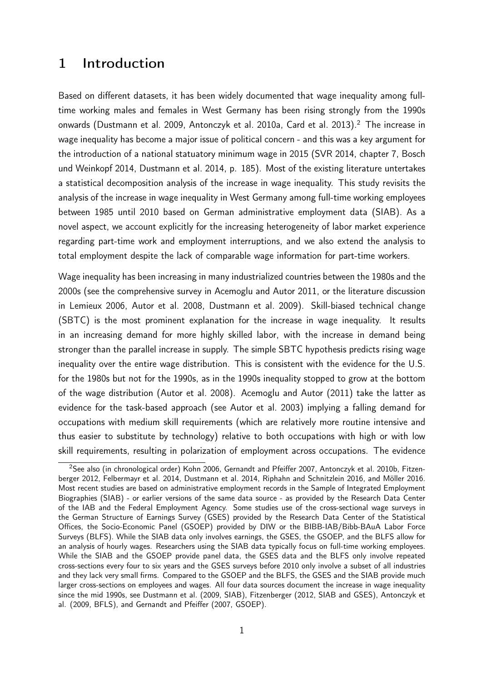## 1 Introduction

Based on different datasets, it has been widely documented that wage inequality among fulltime working males and females in West Germany has been rising strongly from the 1990s onwards (Dustmann et al. 2009, Antonczyk et al. 2010a, Card et al. 2013).<sup>2</sup> The increase in wage inequality has become a major issue of political concern - and this was a key argument for the introduction of a national statuatory minimum wage in 2015 (SVR 2014, chapter 7, Bosch und Weinkopf 2014, Dustmann et al. 2014, p. 185). Most of the existing literature untertakes a statistical decomposition analysis of the increase in wage inequality. This study revisits the analysis of the increase in wage inequality in West Germany among full-time working employees between 1985 until 2010 based on German administrative employment data (SIAB). As a novel aspect, we account explicitly for the increasing heterogeneity of labor market experience regarding part-time work and employment interruptions, and we also extend the analysis to total employment despite the lack of comparable wage information for part-time workers.

Wage inequality has been increasing in many industrialized countries between the 1980s and the 2000s (see the comprehensive survey in Acemoglu and Autor 2011, or the literature discussion in Lemieux 2006, Autor et al. 2008, Dustmann et al. 2009). Skill-biased technical change (SBTC) is the most prominent explanation for the increase in wage inequality. It results in an increasing demand for more highly skilled labor, with the increase in demand being stronger than the parallel increase in supply. The simple SBTC hypothesis predicts rising wage inequality over the entire wage distribution. This is consistent with the evidence for the U.S. for the 1980s but not for the 1990s, as in the 1990s inequality stopped to grow at the bottom of the wage distribution (Autor et al. 2008). Acemoglu and Autor (2011) take the latter as evidence for the task-based approach (see Autor et al. 2003) implying a falling demand for occupations with medium skill requirements (which are relatively more routine intensive and thus easier to substitute by technology) relative to both occupations with high or with low skill requirements, resulting in polarization of employment across occupations. The evidence

<sup>2</sup>See also (in chronological order) Kohn 2006, Gernandt and Pfeiffer 2007, Antonczyk et al. 2010b, Fitzenberger 2012, Felbermayr et al. 2014, Dustmann et al. 2014, Riphahn and Schnitzlein 2016, and Möller 2016. Most recent studies are based on administrative employment records in the Sample of Integrated Employment Biographies (SIAB) - or earlier versions of the same data source - as provided by the Research Data Center of the IAB and the Federal Employment Agency. Some studies use of the cross-sectional wage surveys in the German Structure of Earnings Survey (GSES) provided by the Research Data Center of the Statistical Offices, the Socio-Economic Panel (GSOEP) provided by DIW or the BIBB-IAB/Bibb-BAuA Labor Force Surveys (BLFS). While the SIAB data only involves earnings, the GSES, the GSOEP, and the BLFS allow for an analysis of hourly wages. Researchers using the SIAB data typically focus on full-time working employees. While the SIAB and the GSOEP provide panel data, the GSES data and the BLFS only involve repeated cross-sections every four to six years and the GSES surveys before 2010 only involve a subset of all industries and they lack very small firms. Compared to the GSOEP and the BLFS, the GSES and the SIAB provide much larger cross-sections on employees and wages. All four data sources document the increase in wage inequality since the mid 1990s, see Dustmann et al. (2009, SIAB), Fitzenberger (2012, SIAB and GSES), Antonczyk et al. (2009, BFLS), and Gernandt and Pfeiffer (2007, GSOEP).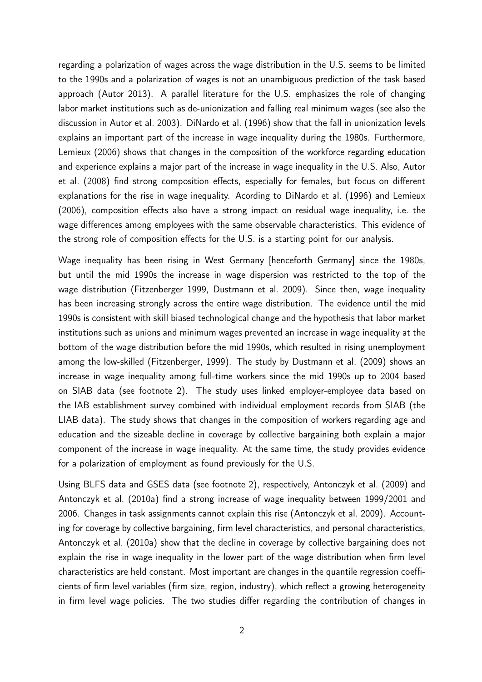regarding a polarization of wages across the wage distribution in the U.S. seems to be limited to the 1990s and a polarization of wages is not an unambiguous prediction of the task based approach (Autor 2013). A parallel literature for the U.S. emphasizes the role of changing labor market institutions such as de-unionization and falling real minimum wages (see also the discussion in Autor et al. 2003). DiNardo et al. (1996) show that the fall in unionization levels explains an important part of the increase in wage inequality during the 1980s. Furthermore, Lemieux (2006) shows that changes in the composition of the workforce regarding education and experience explains a major part of the increase in wage inequality in the U.S. Also, Autor et al. (2008) find strong composition effects, especially for females, but focus on different explanations for the rise in wage inequality. Acording to DiNardo et al. (1996) and Lemieux (2006), composition effects also have a strong impact on residual wage inequality, i.e. the wage differences among employees with the same observable characteristics. This evidence of the strong role of composition effects for the U.S. is a starting point for our analysis.

Wage inequality has been rising in West Germany [henceforth Germany] since the 1980s, but until the mid 1990s the increase in wage dispersion was restricted to the top of the wage distribution (Fitzenberger 1999, Dustmann et al. 2009). Since then, wage inequality has been increasing strongly across the entire wage distribution. The evidence until the mid 1990s is consistent with skill biased technological change and the hypothesis that labor market institutions such as unions and minimum wages prevented an increase in wage inequality at the bottom of the wage distribution before the mid 1990s, which resulted in rising unemployment among the low-skilled (Fitzenberger, 1999). The study by Dustmann et al. (2009) shows an increase in wage inequality among full-time workers since the mid 1990s up to 2004 based on SIAB data (see footnote 2). The study uses linked employer-employee data based on the IAB establishment survey combined with individual employment records from SIAB (the LIAB data). The study shows that changes in the composition of workers regarding age and education and the sizeable decline in coverage by collective bargaining both explain a major component of the increase in wage inequality. At the same time, the study provides evidence for a polarization of employment as found previously for the U.S.

Using BLFS data and GSES data (see footnote 2), respectively, Antonczyk et al. (2009) and Antonczyk et al. (2010a) find a strong increase of wage inequality between 1999/2001 and 2006. Changes in task assignments cannot explain this rise (Antonczyk et al. 2009). Accounting for coverage by collective bargaining, firm level characteristics, and personal characteristics, Antonczyk et al. (2010a) show that the decline in coverage by collective bargaining does not explain the rise in wage inequality in the lower part of the wage distribution when firm level characteristics are held constant. Most important are changes in the quantile regression coefficients of firm level variables (firm size, region, industry), which reflect a growing heterogeneity in firm level wage policies. The two studies differ regarding the contribution of changes in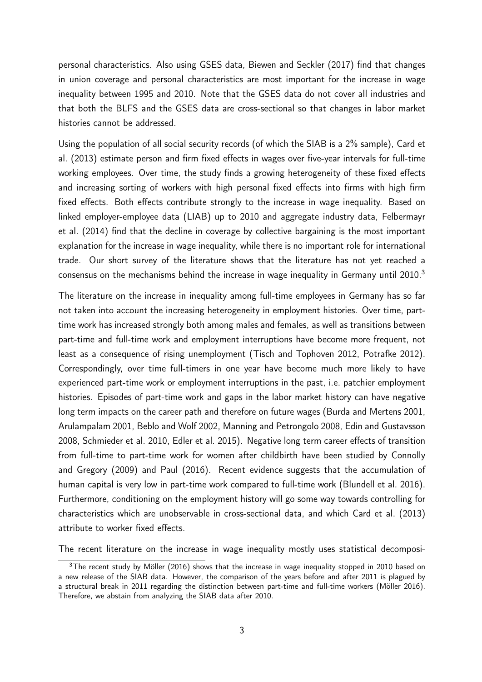personal characteristics. Also using GSES data, Biewen and Seckler (2017) find that changes in union coverage and personal characteristics are most important for the increase in wage inequality between 1995 and 2010. Note that the GSES data do not cover all industries and that both the BLFS and the GSES data are cross-sectional so that changes in labor market histories cannot be addressed.

Using the population of all social security records (of which the SIAB is a 2% sample), Card et al. (2013) estimate person and firm fixed effects in wages over five-year intervals for full-time working employees. Over time, the study finds a growing heterogeneity of these fixed effects and increasing sorting of workers with high personal fixed effects into firms with high firm fixed effects. Both effects contribute strongly to the increase in wage inequality. Based on linked employer-employee data (LIAB) up to 2010 and aggregate industry data, Felbermayr et al. (2014) find that the decline in coverage by collective bargaining is the most important explanation for the increase in wage inequality, while there is no important role for international trade. Our short survey of the literature shows that the literature has not yet reached a consensus on the mechanisms behind the increase in wage inequality in Germany until  $2010<sup>3</sup>$ 

The literature on the increase in inequality among full-time employees in Germany has so far not taken into account the increasing heterogeneity in employment histories. Over time, parttime work has increased strongly both among males and females, as well as transitions between part-time and full-time work and employment interruptions have become more frequent, not least as a consequence of rising unemployment (Tisch and Tophoven 2012, Potrafke 2012). Correspondingly, over time full-timers in one year have become much more likely to have experienced part-time work or employment interruptions in the past, i.e. patchier employment histories. Episodes of part-time work and gaps in the labor market history can have negative long term impacts on the career path and therefore on future wages (Burda and Mertens 2001, Arulampalam 2001, Beblo and Wolf 2002, Manning and Petrongolo 2008, Edin and Gustavsson 2008, Schmieder et al. 2010, Edler et al. 2015). Negative long term career effects of transition from full-time to part-time work for women after childbirth have been studied by Connolly and Gregory (2009) and Paul (2016). Recent evidence suggests that the accumulation of human capital is very low in part-time work compared to full-time work (Blundell et al. 2016). Furthermore, conditioning on the employment history will go some way towards controlling for characteristics which are unobservable in cross-sectional data, and which Card et al. (2013) attribute to worker fixed effects.

The recent literature on the increase in wage inequality mostly uses statistical decomposi-

 $3$ The recent study by Möller (2016) shows that the increase in wage inequality stopped in 2010 based on a new release of the SIAB data. However, the comparison of the years before and after 2011 is plagued by a structural break in 2011 regarding the distinction between part-time and full-time workers (Möller 2016). Therefore, we abstain from analyzing the SIAB data after 2010.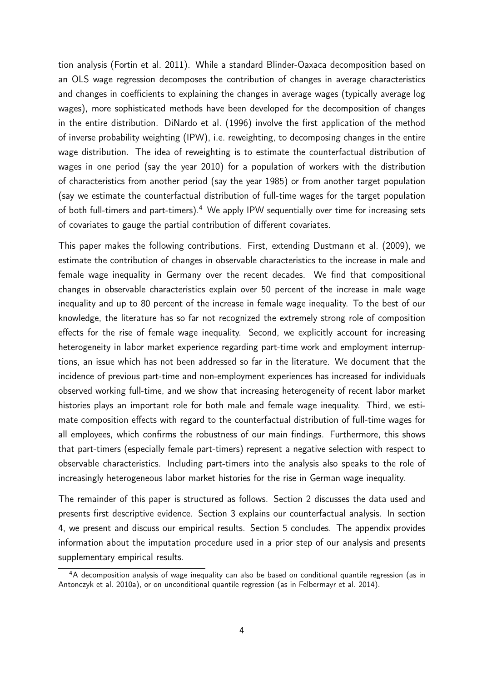tion analysis (Fortin et al. 2011). While a standard Blinder-Oaxaca decomposition based on an OLS wage regression decomposes the contribution of changes in average characteristics and changes in coefficients to explaining the changes in average wages (typically average log wages), more sophisticated methods have been developed for the decomposition of changes in the entire distribution. DiNardo et al. (1996) involve the first application of the method of inverse probability weighting (IPW), i.e. reweighting, to decomposing changes in the entire wage distribution. The idea of reweighting is to estimate the counterfactual distribution of wages in one period (say the year 2010) for a population of workers with the distribution of characteristics from another period (say the year 1985) or from another target population (say we estimate the counterfactual distribution of full-time wages for the target population of both full-timers and part-timers).<sup>4</sup> We apply IPW sequentially over time for increasing sets of covariates to gauge the partial contribution of different covariates.

This paper makes the following contributions. First, extending Dustmann et al. (2009), we estimate the contribution of changes in observable characteristics to the increase in male and female wage inequality in Germany over the recent decades. We find that compositional changes in observable characteristics explain over 50 percent of the increase in male wage inequality and up to 80 percent of the increase in female wage inequality. To the best of our knowledge, the literature has so far not recognized the extremely strong role of composition effects for the rise of female wage inequality. Second, we explicitly account for increasing heterogeneity in labor market experience regarding part-time work and employment interruptions, an issue which has not been addressed so far in the literature. We document that the incidence of previous part-time and non-employment experiences has increased for individuals observed working full-time, and we show that increasing heterogeneity of recent labor market histories plays an important role for both male and female wage inequality. Third, we estimate composition effects with regard to the counterfactual distribution of full-time wages for all employees, which confirms the robustness of our main findings. Furthermore, this shows that part-timers (especially female part-timers) represent a negative selection with respect to observable characteristics. Including part-timers into the analysis also speaks to the role of increasingly heterogeneous labor market histories for the rise in German wage inequality.

The remainder of this paper is structured as follows. Section 2 discusses the data used and presents first descriptive evidence. Section 3 explains our counterfactual analysis. In section 4, we present and discuss our empirical results. Section 5 concludes. The appendix provides information about the imputation procedure used in a prior step of our analysis and presents supplementary empirical results.

<sup>4</sup>A decomposition analysis of wage inequality can also be based on conditional quantile regression (as in Antonczyk et al. 2010a), or on unconditional quantile regression (as in Felbermayr et al. 2014).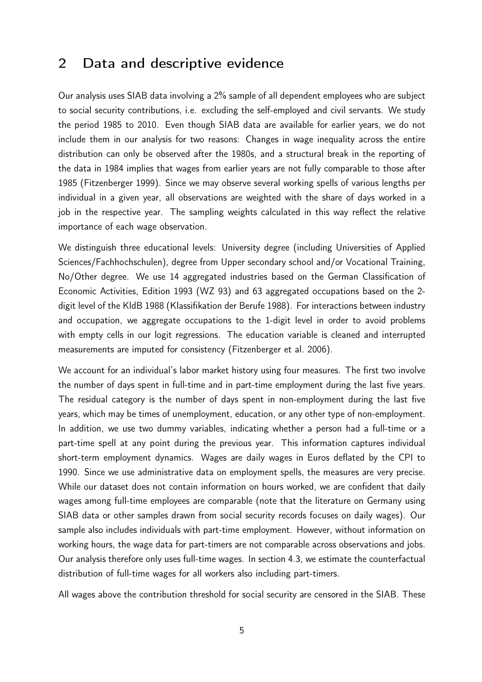## 2 Data and descriptive evidence

Our analysis uses SIAB data involving a 2% sample of all dependent employees who are subject to social security contributions, i.e. excluding the self-employed and civil servants. We study the period 1985 to 2010. Even though SIAB data are available for earlier years, we do not include them in our analysis for two reasons: Changes in wage inequality across the entire distribution can only be observed after the 1980s, and a structural break in the reporting of the data in 1984 implies that wages from earlier years are not fully comparable to those after 1985 (Fitzenberger 1999). Since we may observe several working spells of various lengths per individual in a given year, all observations are weighted with the share of days worked in a job in the respective year. The sampling weights calculated in this way reflect the relative importance of each wage observation.

We distinguish three educational levels: University degree (including Universities of Applied Sciences/Fachhochschulen), degree from Upper secondary school and/or Vocational Training, No/Other degree. We use 14 aggregated industries based on the German Classification of Economic Activities, Edition 1993 (WZ 93) and 63 aggregated occupations based on the 2 digit level of the KldB 1988 (Klassifikation der Berufe 1988). For interactions between industry and occupation, we aggregate occupations to the 1-digit level in order to avoid problems with empty cells in our logit regressions. The education variable is cleaned and interrupted measurements are imputed for consistency (Fitzenberger et al. 2006).

We account for an individual's labor market history using four measures. The first two involve the number of days spent in full-time and in part-time employment during the last five years. The residual category is the number of days spent in non-employment during the last five years, which may be times of unemployment, education, or any other type of non-employment. In addition, we use two dummy variables, indicating whether a person had a full-time or a part-time spell at any point during the previous year. This information captures individual short-term employment dynamics. Wages are daily wages in Euros deflated by the CPI to 1990. Since we use administrative data on employment spells, the measures are very precise. While our dataset does not contain information on hours worked, we are confident that daily wages among full-time employees are comparable (note that the literature on Germany using SIAB data or other samples drawn from social security records focuses on daily wages). Our sample also includes individuals with part-time employment. However, without information on working hours, the wage data for part-timers are not comparable across observations and jobs. Our analysis therefore only uses full-time wages. In section 4.3, we estimate the counterfactual distribution of full-time wages for all workers also including part-timers.

All wages above the contribution threshold for social security are censored in the SIAB. These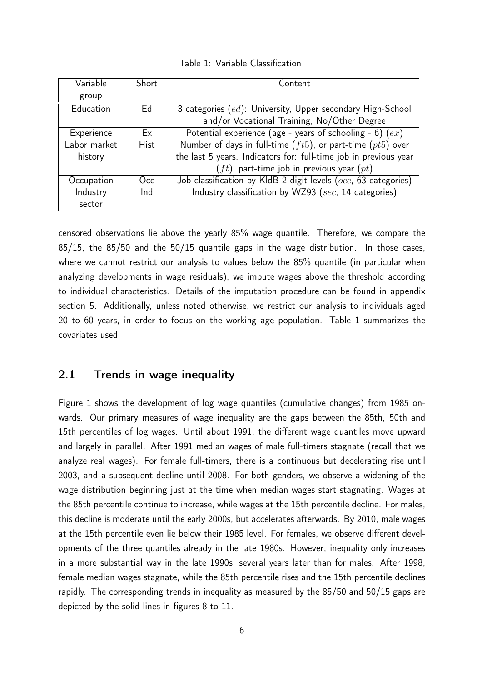|  |  | Table 1: Variable Classification |  |
|--|--|----------------------------------|--|
|--|--|----------------------------------|--|

| Variable     | Short       | Content                                                            |
|--------------|-------------|--------------------------------------------------------------------|
| group        |             |                                                                    |
| Education    | Ed          | 3 categories (ed): University, Upper secondary High-School         |
|              |             | and/or Vocational Training, No/Other Degree                        |
| Experience   | Ex          | Potential experience (age - years of schooling - 6) $(ex)$         |
| Labor market | <b>Hist</b> | Number of days in full-time $(ft5)$ , or part-time $(pt5)$ over    |
| history      |             | the last 5 years. Indicators for: full-time job in previous year   |
|              |             | $(ft)$ , part-time job in previous year $(pt)$                     |
| Occupation   | Occ.        | Job classification by KldB 2-digit levels ( $occ$ , 63 categories) |
| Industry     | Ind         | Industry classification by WZ93 (sec, 14 categories)               |
| sector       |             |                                                                    |

censored observations lie above the yearly 85% wage quantile. Therefore, we compare the 85/15, the 85/50 and the 50/15 quantile gaps in the wage distribution. In those cases, where we cannot restrict our analysis to values below the 85% quantile (in particular when analyzing developments in wage residuals), we impute wages above the threshold according to individual characteristics. Details of the imputation procedure can be found in appendix section 5. Additionally, unless noted otherwise, we restrict our analysis to individuals aged 20 to 60 years, in order to focus on the working age population. Table 1 summarizes the covariates used.

#### 2.1 Trends in wage inequality

Figure 1 shows the development of log wage quantiles (cumulative changes) from 1985 onwards. Our primary measures of wage inequality are the gaps between the 85th, 50th and 15th percentiles of log wages. Until about 1991, the different wage quantiles move upward and largely in parallel. After 1991 median wages of male full-timers stagnate (recall that we analyze real wages). For female full-timers, there is a continuous but decelerating rise until 2003, and a subsequent decline until 2008. For both genders, we observe a widening of the wage distribution beginning just at the time when median wages start stagnating. Wages at the 85th percentile continue to increase, while wages at the 15th percentile decline. For males, this decline is moderate until the early 2000s, but accelerates afterwards. By 2010, male wages at the 15th percentile even lie below their 1985 level. For females, we observe different developments of the three quantiles already in the late 1980s. However, inequality only increases in a more substantial way in the late 1990s, several years later than for males. After 1998, female median wages stagnate, while the 85th percentile rises and the 15th percentile declines rapidly. The corresponding trends in inequality as measured by the 85/50 and 50/15 gaps are depicted by the solid lines in figures 8 to 11.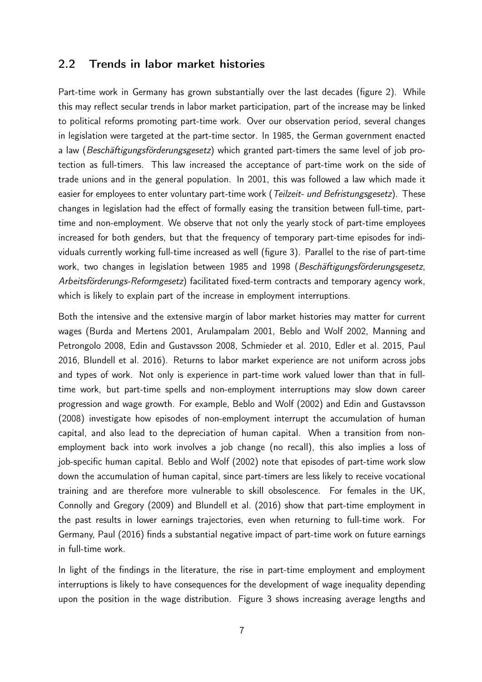#### 2.2 Trends in labor market histories

Part-time work in Germany has grown substantially over the last decades (figure 2). While this may reflect secular trends in labor market participation, part of the increase may be linked to political reforms promoting part-time work. Over our observation period, several changes in legislation were targeted at the part-time sector. In 1985, the German government enacted a law (Beschäftigungsförderungsgesetz) which granted part-timers the same level of job protection as full-timers. This law increased the acceptance of part-time work on the side of trade unions and in the general population. In 2001, this was followed a law which made it easier for employees to enter voluntary part-time work (Teilzeit- und Befristungsgesetz). These changes in legislation had the effect of formally easing the transition between full-time, parttime and non-employment. We observe that not only the yearly stock of part-time employees increased for both genders, but that the frequency of temporary part-time episodes for individuals currently working full-time increased as well (figure 3). Parallel to the rise of part-time work, two changes in legislation between 1985 and 1998 (Beschäftigungsförderungsgesetz, Arbeitsförderungs-Reformgesetz) facilitated fixed-term contracts and temporary agency work, which is likely to explain part of the increase in employment interruptions.

Both the intensive and the extensive margin of labor market histories may matter for current wages (Burda and Mertens 2001, Arulampalam 2001, Beblo and Wolf 2002, Manning and Petrongolo 2008, Edin and Gustavsson 2008, Schmieder et al. 2010, Edler et al. 2015, Paul 2016, Blundell et al. 2016). Returns to labor market experience are not uniform across jobs and types of work. Not only is experience in part-time work valued lower than that in fulltime work, but part-time spells and non-employment interruptions may slow down career progression and wage growth. For example, Beblo and Wolf (2002) and Edin and Gustavsson (2008) investigate how episodes of non-employment interrupt the accumulation of human capital, and also lead to the depreciation of human capital. When a transition from nonemployment back into work involves a job change (no recall), this also implies a loss of job-specific human capital. Beblo and Wolf (2002) note that episodes of part-time work slow down the accumulation of human capital, since part-timers are less likely to receive vocational training and are therefore more vulnerable to skill obsolescence. For females in the UK, Connolly and Gregory (2009) and Blundell et al. (2016) show that part-time employment in the past results in lower earnings trajectories, even when returning to full-time work. For Germany, Paul (2016) finds a substantial negative impact of part-time work on future earnings in full-time work.

In light of the findings in the literature, the rise in part-time employment and employment interruptions is likely to have consequences for the development of wage inequality depending upon the position in the wage distribution. Figure 3 shows increasing average lengths and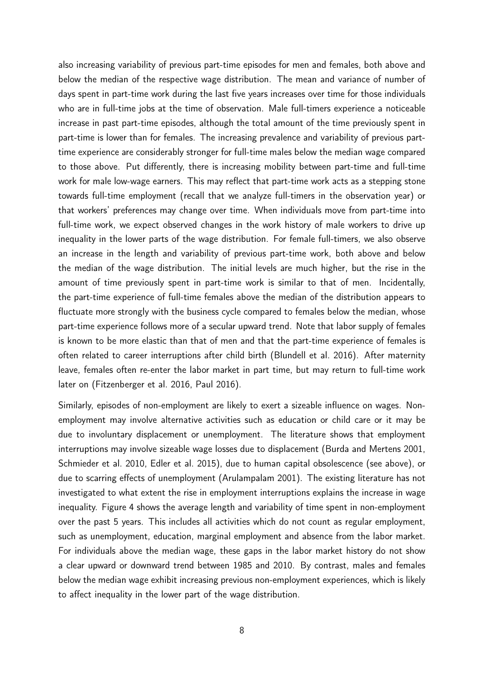also increasing variability of previous part-time episodes for men and females, both above and below the median of the respective wage distribution. The mean and variance of number of days spent in part-time work during the last five years increases over time for those individuals who are in full-time jobs at the time of observation. Male full-timers experience a noticeable increase in past part-time episodes, although the total amount of the time previously spent in part-time is lower than for females. The increasing prevalence and variability of previous parttime experience are considerably stronger for full-time males below the median wage compared to those above. Put differently, there is increasing mobility between part-time and full-time work for male low-wage earners. This may reflect that part-time work acts as a stepping stone towards full-time employment (recall that we analyze full-timers in the observation year) or that workers' preferences may change over time. When individuals move from part-time into full-time work, we expect observed changes in the work history of male workers to drive up inequality in the lower parts of the wage distribution. For female full-timers, we also observe an increase in the length and variability of previous part-time work, both above and below the median of the wage distribution. The initial levels are much higher, but the rise in the amount of time previously spent in part-time work is similar to that of men. Incidentally, the part-time experience of full-time females above the median of the distribution appears to fluctuate more strongly with the business cycle compared to females below the median, whose part-time experience follows more of a secular upward trend. Note that labor supply of females is known to be more elastic than that of men and that the part-time experience of females is often related to career interruptions after child birth (Blundell et al. 2016). After maternity leave, females often re-enter the labor market in part time, but may return to full-time work later on (Fitzenberger et al. 2016, Paul 2016).

Similarly, episodes of non-employment are likely to exert a sizeable influence on wages. Nonemployment may involve alternative activities such as education or child care or it may be due to involuntary displacement or unemployment. The literature shows that employment interruptions may involve sizeable wage losses due to displacement (Burda and Mertens 2001, Schmieder et al. 2010, Edler et al. 2015), due to human capital obsolescence (see above), or due to scarring effects of unemployment (Arulampalam 2001). The existing literature has not investigated to what extent the rise in employment interruptions explains the increase in wage inequality. Figure 4 shows the average length and variability of time spent in non-employment over the past 5 years. This includes all activities which do not count as regular employment, such as unemployment, education, marginal employment and absence from the labor market. For individuals above the median wage, these gaps in the labor market history do not show a clear upward or downward trend between 1985 and 2010. By contrast, males and females below the median wage exhibit increasing previous non-employment experiences, which is likely to affect inequality in the lower part of the wage distribution.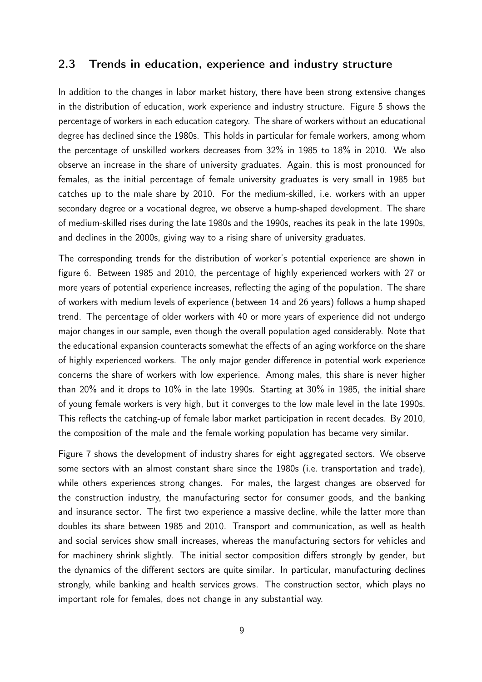#### 2.3 Trends in education, experience and industry structure

In addition to the changes in labor market history, there have been strong extensive changes in the distribution of education, work experience and industry structure. Figure 5 shows the percentage of workers in each education category. The share of workers without an educational degree has declined since the 1980s. This holds in particular for female workers, among whom the percentage of unskilled workers decreases from 32% in 1985 to 18% in 2010. We also observe an increase in the share of university graduates. Again, this is most pronounced for females, as the initial percentage of female university graduates is very small in 1985 but catches up to the male share by 2010. For the medium-skilled, i.e. workers with an upper secondary degree or a vocational degree, we observe a hump-shaped development. The share of medium-skilled rises during the late 1980s and the 1990s, reaches its peak in the late 1990s, and declines in the 2000s, giving way to a rising share of university graduates.

The corresponding trends for the distribution of worker's potential experience are shown in figure 6. Between 1985 and 2010, the percentage of highly experienced workers with 27 or more years of potential experience increases, reflecting the aging of the population. The share of workers with medium levels of experience (between 14 and 26 years) follows a hump shaped trend. The percentage of older workers with 40 or more years of experience did not undergo major changes in our sample, even though the overall population aged considerably. Note that the educational expansion counteracts somewhat the effects of an aging workforce on the share of highly experienced workers. The only major gender difference in potential work experience concerns the share of workers with low experience. Among males, this share is never higher than 20% and it drops to 10% in the late 1990s. Starting at 30% in 1985, the initial share of young female workers is very high, but it converges to the low male level in the late 1990s. This reflects the catching-up of female labor market participation in recent decades. By 2010, the composition of the male and the female working population has became very similar.

Figure 7 shows the development of industry shares for eight aggregated sectors. We observe some sectors with an almost constant share since the 1980s (i.e. transportation and trade), while others experiences strong changes. For males, the largest changes are observed for the construction industry, the manufacturing sector for consumer goods, and the banking and insurance sector. The first two experience a massive decline, while the latter more than doubles its share between 1985 and 2010. Transport and communication, as well as health and social services show small increases, whereas the manufacturing sectors for vehicles and for machinery shrink slightly. The initial sector composition differs strongly by gender, but the dynamics of the different sectors are quite similar. In particular, manufacturing declines strongly, while banking and health services grows. The construction sector, which plays no important role for females, does not change in any substantial way.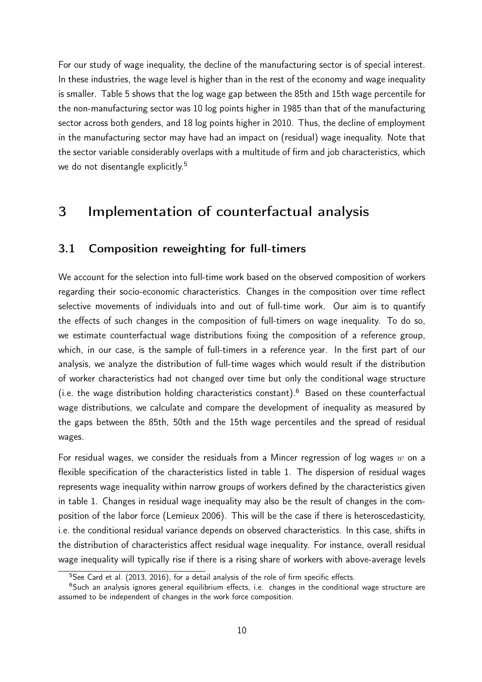For our study of wage inequality, the decline of the manufacturing sector is of special interest. In these industries, the wage level is higher than in the rest of the economy and wage inequality is smaller. Table 5 shows that the log wage gap between the 85th and 15th wage percentile for the non-manufacturing sector was 10 log points higher in 1985 than that of the manufacturing sector across both genders, and 18 log points higher in 2010. Thus, the decline of employment in the manufacturing sector may have had an impact on (residual) wage inequality. Note that the sector variable considerably overlaps with a multitude of firm and job characteristics, which we do not disentangle explicitly.<sup>5</sup>

## 3 Implementation of counterfactual analysis

### 3.1 Composition reweighting for full-timers

We account for the selection into full-time work based on the observed composition of workers regarding their socio-economic characteristics. Changes in the composition over time reflect selective movements of individuals into and out of full-time work. Our aim is to quantify the effects of such changes in the composition of full-timers on wage inequality. To do so, we estimate counterfactual wage distributions fixing the composition of a reference group, which, in our case, is the sample of full-timers in a reference year. In the first part of our analysis, we analyze the distribution of full-time wages which would result if the distribution of worker characteristics had not changed over time but only the conditional wage structure (i.e. the wage distribution holding characteristics constant). $6$  Based on these counterfactual wage distributions, we calculate and compare the development of inequality as measured by the gaps between the 85th, 50th and the 15th wage percentiles and the spread of residual wages.

For residual wages, we consider the residuals from a Mincer regression of log wages  $w$  on a flexible specification of the characteristics listed in table 1. The dispersion of residual wages represents wage inequality within narrow groups of workers defined by the characteristics given in table 1. Changes in residual wage inequality may also be the result of changes in the composition of the labor force (Lemieux 2006). This will be the case if there is heteroscedasticity, i.e. the conditional residual variance depends on observed characteristics. In this case, shifts in the distribution of characteristics affect residual wage inequality. For instance, overall residual wage inequality will typically rise if there is a rising share of workers with above-average levels

<sup>&</sup>lt;sup>5</sup>See Card et al. (2013, 2016), for a detail analysis of the role of firm specific effects.

 $6$ Such an analysis ignores general equilibrium effects, i.e. changes in the conditional wage structure are assumed to be independent of changes in the work force composition.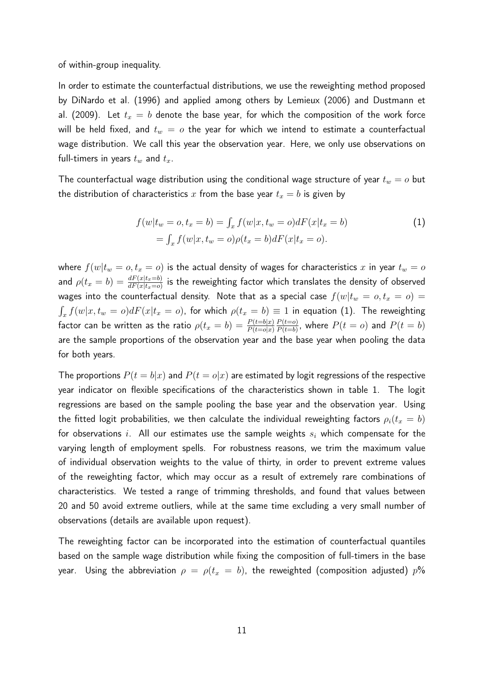of within-group inequality.

In order to estimate the counterfactual distributions, we use the reweighting method proposed by DiNardo et al. (1996) and applied among others by Lemieux (2006) and Dustmann et al. (2009). Let  $t_x = b$  denote the base year, for which the composition of the work force will be held fixed, and  $t_w = o$  the year for which we intend to estimate a counterfactual wage distribution. We call this year the observation year. Here, we only use observations on full-timers in years  $t_w$  and  $t_x$ .

The counterfactual wage distribution using the conditional wage structure of year  $t_w = o$  but the distribution of characteristics x from the base year  $t_x = b$  is given by

$$
f(w|t_w = o, t_x = b) = \int_x f(w|x, t_w = o) dF(x|t_x = b)
$$
  
=  $\int_x f(w|x, t_w = o) \rho(t_x = b) dF(x|t_x = o).$  (1)

where  $f(w|t_w = o, t_x = o)$  is the actual density of wages for characteristics x in year  $t_w = o$ and  $\rho(t_x=b)=\frac{dF(x|t_x=b)}{dF(x|t_x=o)}$  is the reweighting factor which translates the density of observed wages into the counterfactual density. Note that as a special case  $f(w|t_w = o, t_x = o)$  $\int_x f(w|x,t_w=o)dF(x|t_x=o)$ , for which  $\rho(t_x=b)\equiv 1$  in equation (1). The reweighting factor can be written as the ratio  $\rho(t_x=b) = \frac{P(t=b|x)}{P(t=o|x)}$  $P(t=0)$  $\frac{P(t=0)}{P(t=b)}$ , where  $P(t = o)$  and  $P(t = b)$ are the sample proportions of the observation year and the base year when pooling the data for both years.

The proportions  $P(t = b|x)$  and  $P(t = o|x)$  are estimated by logit regressions of the respective year indicator on flexible specifications of the characteristics shown in table 1. The logit regressions are based on the sample pooling the base year and the observation year. Using the fitted logit probabilities, we then calculate the individual reweighting factors  $\rho_i(t_x = b)$ for observations i. All our estimates use the sample weights  $s_i$  which compensate for the varying length of employment spells. For robustness reasons, we trim the maximum value of individual observation weights to the value of thirty, in order to prevent extreme values of the reweighting factor, which may occur as a result of extremely rare combinations of characteristics. We tested a range of trimming thresholds, and found that values between 20 and 50 avoid extreme outliers, while at the same time excluding a very small number of observations (details are available upon request).

The reweighting factor can be incorporated into the estimation of counterfactual quantiles based on the sample wage distribution while fixing the composition of full-timers in the base year. Using the abbreviation  $\rho = \rho(t_x = b)$ , the reweighted (composition adjusted)  $p$ %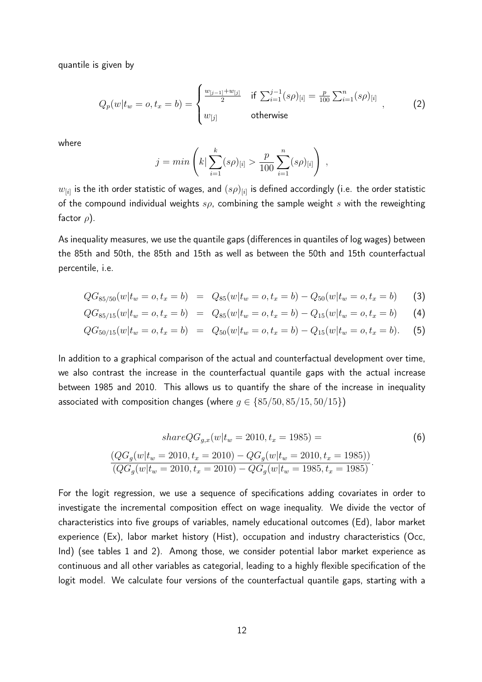quantile is given by

$$
Q_p(w|t_w = o, t_x = b) = \begin{cases} \frac{w_{[j-1]} + w_{[j]}}{2} & \text{if } \sum_{i=1}^{j-1} (s\rho)_{[i]} = \frac{p}{100} \sum_{i=1}^{n} (s\rho)_{[i]} \\ w_{[j]} & \text{otherwise} \end{cases}, \tag{2}
$$

where

$$
j = min\left(k | \sum_{i=1}^{k} (s\rho)_{[i]} > \frac{p}{100} \sum_{i=1}^{n} (s\rho)_{[i]} \right) ,
$$

 $w_{[i]}$  is the ith order statistic of wages, and  $(s\rho)_{[i]}$  is defined accordingly (i.e. the order statistic of the compound individual weights  $s\rho$ , combining the sample weight s with the reweighting factor  $\rho$ ).

As inequality measures, we use the quantile gaps (differences in quantiles of log wages) between the 85th and 50th, the 85th and 15th as well as between the 50th and 15th counterfactual percentile, i.e.

$$
QG_{85/50}(w|t_w = o, t_x = b) = Q_{85}(w|t_w = o, t_x = b) - Q_{50}(w|t_w = o, t_x = b)
$$
 (3)

$$
QG_{85/15}(w|t_w = o, t_x = b) = Q_{85}(w|t_w = o, t_x = b) - Q_{15}(w|t_w = o, t_x = b)
$$
 (4)

$$
QG_{50/15}(w|t_w = o, t_x = b) = Q_{50}(w|t_w = o, t_x = b) - Q_{15}(w|t_w = o, t_x = b).
$$
 (5)

In addition to a graphical comparison of the actual and counterfactual development over time, we also contrast the increase in the counterfactual quantile gaps with the actual increase between 1985 and 2010. This allows us to quantify the share of the increase in inequality associated with composition changes (where  $g \in \{85/50, 85/15, 50/15\}$ )

$$
shareQG_{g,x}(w|t_w = 2010, t_x = 1985) =
$$
\n
$$
\frac{(QG_g(w|t_w = 2010, t_x = 2010) - QG_g(w|t_w = 2010, t_x = 1985))}{(QG_g(w|t_w = 2010, t_x = 2010) - QG_g(w|t_w = 1985, t_x = 1985)}.
$$
\n(6)

For the logit regression, we use a sequence of specifications adding covariates in order to investigate the incremental composition effect on wage inequality. We divide the vector of characteristics into five groups of variables, namely educational outcomes (Ed), labor market experience (Ex), labor market history (Hist), occupation and industry characteristics (Occ, Ind) (see tables 1 and 2). Among those, we consider potential labor market experience as continuous and all other variables as categorial, leading to a highly flexible specification of the logit model. We calculate four versions of the counterfactual quantile gaps, starting with a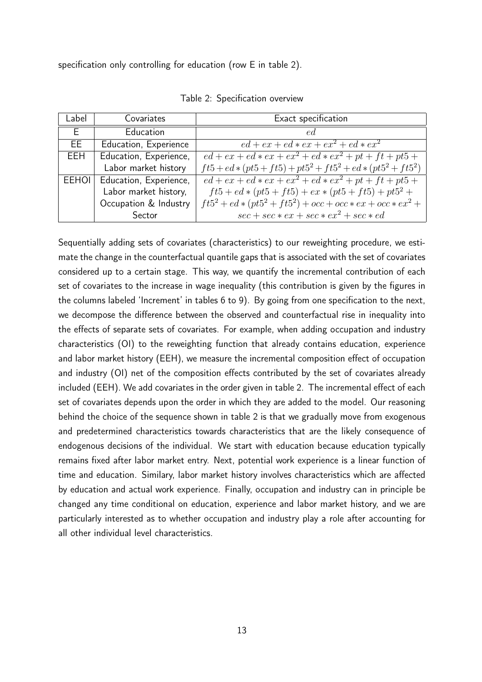specification only controlling for education (row E in table 2).

| Label        | Covariates             | Exact specification                                                 |
|--------------|------------------------|---------------------------------------------------------------------|
| E.           | Education              | ed.                                                                 |
| EE.          | Education, Experience  | $ed+ex+ed*ex+ex^2+ed*ex^2$                                          |
| EEH.         | Education, Experience, | $ed + ex + ed * ex + ex^2 + ed * ex^2 + pt + ft + pt5 +$            |
|              | Labor market history   | $ft5 + ed * (pt5 + ft5) + pt5^2 + ft5^2 + ed * (pt5^2 + ft5^2)$     |
| <b>EEHOI</b> | Education, Experience, | $ed + ex + ed * ex + ex^2 + \overline{ed * ex^2 + pt + ft + pt5 +}$ |
|              | Labor market history,  | $ft5 + ed * (pt5 + ft5) + ex * (pt5 + ft5) + pt52 +$                |
|              | Occupation & Industry  | $ft5^2 + ed * (pt5^2 + ft5^2) + occ + occ * ex + occ * ex^2 +$      |
|              | Sector                 | $\sec + \sec * \ex + \sec * \ex^2 + \sec * \ex$                     |

Table 2: Specification overview

Sequentially adding sets of covariates (characteristics) to our reweighting procedure, we estimate the change in the counterfactual quantile gaps that is associated with the set of covariates considered up to a certain stage. This way, we quantify the incremental contribution of each set of covariates to the increase in wage inequality (this contribution is given by the figures in the columns labeled 'Increment' in tables 6 to 9). By going from one specification to the next, we decompose the difference between the observed and counterfactual rise in inequality into the effects of separate sets of covariates. For example, when adding occupation and industry characteristics (OI) to the reweighting function that already contains education, experience and labor market history (EEH), we measure the incremental composition effect of occupation and industry (OI) net of the composition effects contributed by the set of covariates already included (EEH). We add covariates in the order given in table 2. The incremental effect of each set of covariates depends upon the order in which they are added to the model. Our reasoning behind the choice of the sequence shown in table 2 is that we gradually move from exogenous and predetermined characteristics towards characteristics that are the likely consequence of endogenous decisions of the individual. We start with education because education typically remains fixed after labor market entry. Next, potential work experience is a linear function of time and education. Similary, labor market history involves characteristics which are affected by education and actual work experience. Finally, occupation and industry can in principle be changed any time conditional on education, experience and labor market history, and we are particularly interested as to whether occupation and industry play a role after accounting for all other individual level characteristics.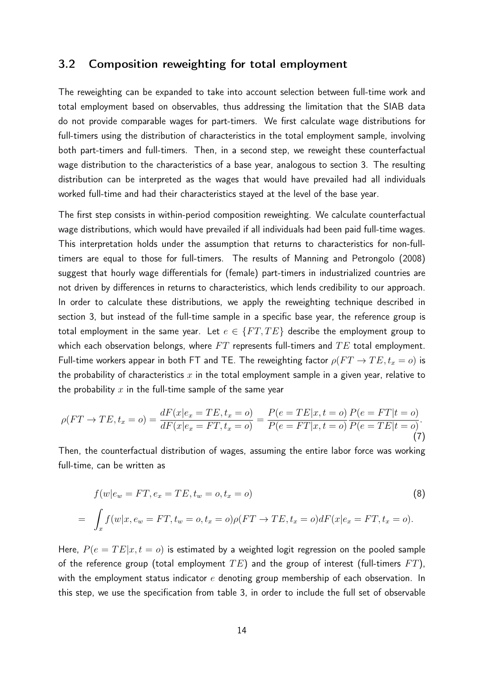#### 3.2 Composition reweighting for total employment

The reweighting can be expanded to take into account selection between full-time work and total employment based on observables, thus addressing the limitation that the SIAB data do not provide comparable wages for part-timers. We first calculate wage distributions for full-timers using the distribution of characteristics in the total employment sample, involving both part-timers and full-timers. Then, in a second step, we reweight these counterfactual wage distribution to the characteristics of a base year, analogous to section 3. The resulting distribution can be interpreted as the wages that would have prevailed had all individuals worked full-time and had their characteristics stayed at the level of the base year.

The first step consists in within-period composition reweighting. We calculate counterfactual wage distributions, which would have prevailed if all individuals had been paid full-time wages. This interpretation holds under the assumption that returns to characteristics for non-fulltimers are equal to those for full-timers. The results of Manning and Petrongolo (2008) suggest that hourly wage differentials for (female) part-timers in industrialized countries are not driven by differences in returns to characteristics, which lends credibility to our approach. In order to calculate these distributions, we apply the reweighting technique described in section 3, but instead of the full-time sample in a specific base year, the reference group is total employment in the same year. Let  $e \in \{FT, TE\}$  describe the employment group to which each observation belongs, where  $FT$  represents full-timers and  $TE$  total employment. Full-time workers appear in both FT and TE. The reweighting factor  $\rho(FT \rightarrow TE, t_x = o)$  is the probability of characteristics  $x$  in the total employment sample in a given year, relative to the probability  $x$  in the full-time sample of the same year

$$
\rho(FT \to TE, t_x = o) = \frac{dF(x|e_x = TE, t_x = o)}{dF(x|e_x = FT, t_x = o)} = \frac{P(e = TE|x, t = o)}{P(e = FT|x, t = o)} \frac{P(e = FT|t = o)}{P(e = TE|t = o)}.
$$
\n(7)

Then, the counterfactual distribution of wages, assuming the entire labor force was working full-time, can be written as

$$
f(w|e_w = FT, e_x = TE, t_w = o, t_x = o)
$$
\n
$$
= \int_x f(w|x, e_w = FT, t_w = o, t_x = o)\rho(FT \to TE, t_x = o)dF(x|e_x = FT, t_x = o).
$$
\n(8)

Here,  $P(e = TE|x, t = o)$  is estimated by a weighted logit regression on the pooled sample of the reference group (total employment  $TE$ ) and the group of interest (full-timers  $FT$ ), with the employment status indicator  $e$  denoting group membership of each observation. In this step, we use the specification from table 3, in order to include the full set of observable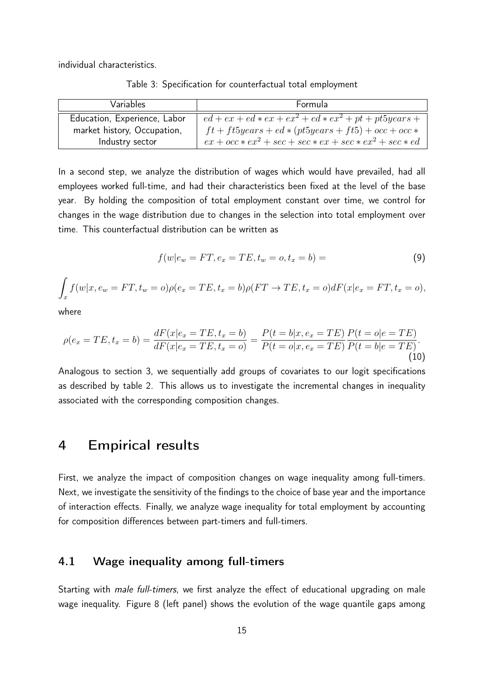individual characteristics.

Table 3: Specification for counterfactual total employment

| Variables                    | Formula                                                   |
|------------------------------|-----------------------------------------------------------|
| Education, Experience, Labor | $ed + ex + ed * ex + ex^2 + ed * ex^2 + pt + pt5 years +$ |
| market history, Occupation,  | $ft + ft5 years + ed * (pt5 years + ft5) + occ + occ *$   |
| Industry sector              | $ex + occ * ex2 + sec + sec * ex + sec * ex2 + sec * ed$  |

In a second step, we analyze the distribution of wages which would have prevailed, had all employees worked full-time, and had their characteristics been fixed at the level of the base year. By holding the composition of total employment constant over time, we control for changes in the wage distribution due to changes in the selection into total employment over time. This counterfactual distribution can be written as

$$
f(w|e_w = FT, e_x = TE, t_w = o, t_x = b) = \tag{9}
$$

$$
\int_x f(w|x, e_w = FT, t_w = o)\rho(e_x = TE, t_x = b)\rho(FT \to TE, t_x = o)dF(x|e_x = FT, t_x = o),
$$

where

$$
\rho(e_x = TE, t_x = b) = \frac{dF(x|e_x = TE, t_x = b)}{dF(x|e_x = TE, t_x = o)} = \frac{P(t = b|x, e_x = TE)}{P(t = o|x, e_x = TE)} \frac{P(t = o|e = TE)}{P(t = b|e = TE)}.
$$
\n(10)

Analogous to section 3, we sequentially add groups of covariates to our logit specifications as described by table 2. This allows us to investigate the incremental changes in inequality associated with the corresponding composition changes.

## 4 Empirical results

First, we analyze the impact of composition changes on wage inequality among full-timers. Next, we investigate the sensitivity of the findings to the choice of base year and the importance of interaction effects. Finally, we analyze wage inequality for total employment by accounting for composition differences between part-timers and full-timers.

#### 4.1 Wage inequality among full-timers

Starting with *male full-timers*, we first analyze the effect of educational upgrading on male wage inequality. Figure 8 (left panel) shows the evolution of the wage quantile gaps among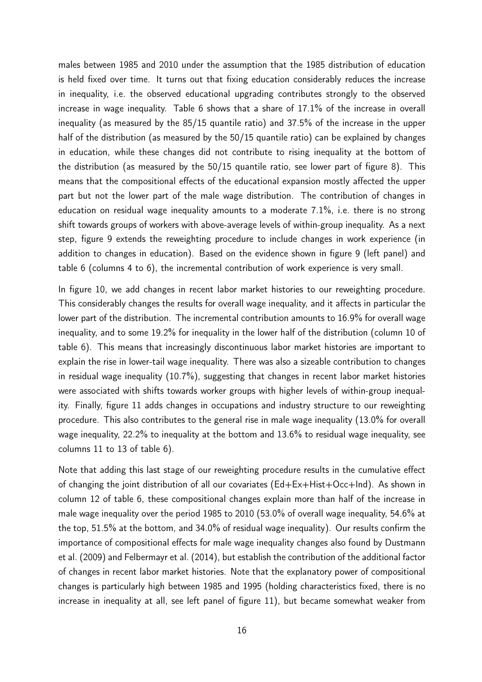males between 1985 and 2010 under the assumption that the 1985 distribution of education is held fixed over time. It turns out that fixing education considerably reduces the increase in inequality, i.e. the observed educational upgrading contributes strongly to the observed increase in wage inequality. Table 6 shows that a share of 17.1% of the increase in overall inequality (as measured by the 85/15 quantile ratio) and 37.5% of the increase in the upper half of the distribution (as measured by the 50/15 quantile ratio) can be explained by changes in education, while these changes did not contribute to rising inequality at the bottom of the distribution (as measured by the 50/15 quantile ratio, see lower part of figure 8). This means that the compositional effects of the educational expansion mostly affected the upper part but not the lower part of the male wage distribution. The contribution of changes in education on residual wage inequality amounts to a moderate 7.1%, i.e. there is no strong shift towards groups of workers with above-average levels of within-group inequality. As a next step, figure 9 extends the reweighting procedure to include changes in work experience (in addition to changes in education). Based on the evidence shown in figure 9 (left panel) and table 6 (columns 4 to 6), the incremental contribution of work experience is very small.

In figure 10, we add changes in recent labor market histories to our reweighting procedure. This considerably changes the results for overall wage inequality, and it affects in particular the lower part of the distribution. The incremental contribution amounts to 16.9% for overall wage inequality, and to some 19.2% for inequality in the lower half of the distribution (column 10 of table 6). This means that increasingly discontinuous labor market histories are important to explain the rise in lower-tail wage inequality. There was also a sizeable contribution to changes in residual wage inequality (10.7%), suggesting that changes in recent labor market histories were associated with shifts towards worker groups with higher levels of within-group inequality. Finally, figure 11 adds changes in occupations and industry structure to our reweighting procedure. This also contributes to the general rise in male wage inequality (13.0% for overall wage inequality, 22.2% to inequality at the bottom and 13.6% to residual wage inequality, see columns 11 to 13 of table 6).

Note that adding this last stage of our reweighting procedure results in the cumulative effect of changing the joint distribution of all our covariates (Ed+Ex+Hist+Occ+Ind). As shown in column 12 of table 6, these compositional changes explain more than half of the increase in male wage inequality over the period 1985 to 2010 (53.0% of overall wage inequality, 54.6% at the top, 51.5% at the bottom, and 34.0% of residual wage inequality). Our results confirm the importance of compositional effects for male wage inequality changes also found by Dustmann et al. (2009) and Felbermayr et al. (2014), but establish the contribution of the additional factor of changes in recent labor market histories. Note that the explanatory power of compositional changes is particularly high between 1985 and 1995 (holding characteristics fixed, there is no increase in inequality at all, see left panel of figure 11), but became somewhat weaker from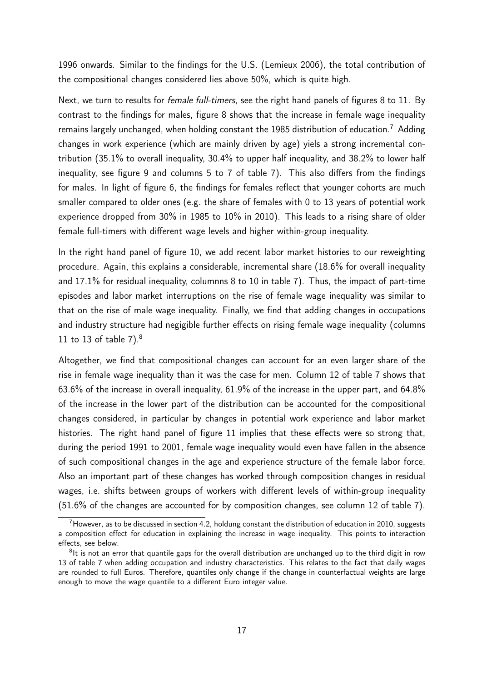1996 onwards. Similar to the findings for the U.S. (Lemieux 2006), the total contribution of the compositional changes considered lies above 50%, which is quite high.

Next, we turn to results for female full-timers, see the right hand panels of figures 8 to 11. By contrast to the findings for males, figure 8 shows that the increase in female wage inequality remains largely unchanged, when holding constant the 1985 distribution of education.<sup>7</sup> Adding changes in work experience (which are mainly driven by age) yiels a strong incremental contribution (35.1% to overall inequality, 30.4% to upper half inequality, and 38.2% to lower half inequality, see figure 9 and columns 5 to 7 of table 7). This also differs from the findings for males. In light of figure 6, the findings for females reflect that younger cohorts are much smaller compared to older ones (e.g. the share of females with 0 to 13 years of potential work experience dropped from 30% in 1985 to 10% in 2010). This leads to a rising share of older female full-timers with different wage levels and higher within-group inequality.

In the right hand panel of figure 10, we add recent labor market histories to our reweighting procedure. Again, this explains a considerable, incremental share (18.6% for overall inequality and 17.1% for residual inequality, columnns 8 to 10 in table 7). Thus, the impact of part-time episodes and labor market interruptions on the rise of female wage inequality was similar to that on the rise of male wage inequality. Finally, we find that adding changes in occupations and industry structure had negigible further effects on rising female wage inequality (columns 11 to 13 of table  $7)^{8}$ 

Altogether, we find that compositional changes can account for an even larger share of the rise in female wage inequality than it was the case for men. Column 12 of table 7 shows that 63.6% of the increase in overall inequality, 61.9% of the increase in the upper part, and 64.8% of the increase in the lower part of the distribution can be accounted for the compositional changes considered, in particular by changes in potential work experience and labor market histories. The right hand panel of figure 11 implies that these effects were so strong that, during the period 1991 to 2001, female wage inequality would even have fallen in the absence of such compositional changes in the age and experience structure of the female labor force. Also an important part of these changes has worked through composition changes in residual wages, i.e. shifts between groups of workers with different levels of within-group inequality (51.6% of the changes are accounted for by composition changes, see column 12 of table 7).

<sup>7</sup>However, as to be discussed in section 4.2, holdung constant the distribution of education in 2010, suggests a composition effect for education in explaining the increase in wage inequality. This points to interaction effects, see below.

 $8$ It is not an error that quantile gaps for the overall distribution are unchanged up to the third digit in row 13 of table 7 when adding occupation and industry characteristics. This relates to the fact that daily wages are rounded to full Euros. Therefore, quantiles only change if the change in counterfactual weights are large enough to move the wage quantile to a different Euro integer value.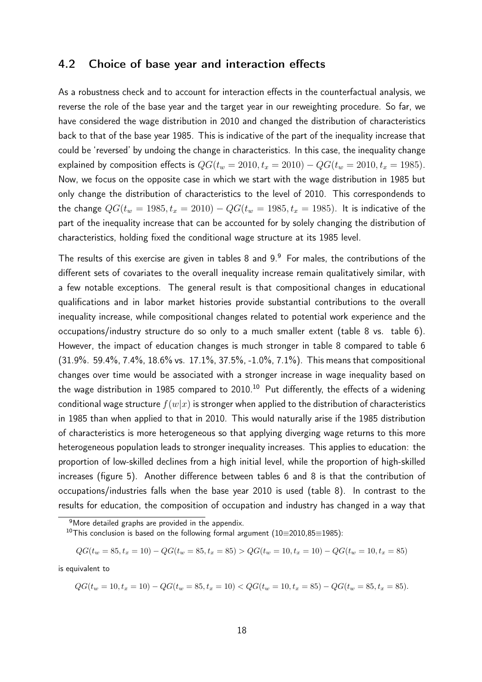#### 4.2 Choice of base year and interaction effects

As a robustness check and to account for interaction effects in the counterfactual analysis, we reverse the role of the base year and the target year in our reweighting procedure. So far, we have considered the wage distribution in 2010 and changed the distribution of characteristics back to that of the base year 1985. This is indicative of the part of the inequality increase that could be 'reversed' by undoing the change in characteristics. In this case, the inequality change explained by composition effects is  $QG(t_w = 2010, t_x = 2010) - QG(t_w = 2010, t_x = 1985)$ . Now, we focus on the opposite case in which we start with the wage distribution in 1985 but only change the distribution of characteristics to the level of 2010. This correspondends to the change  $QG(t_w = 1985, t_x = 2010) - QG(t_w = 1985, t_x = 1985)$ . It is indicative of the part of the inequality increase that can be accounted for by solely changing the distribution of characteristics, holding fixed the conditional wage structure at its 1985 level.

The results of this exercise are given in tables 8 and  $9.9$  For males, the contributions of the different sets of covariates to the overall inequality increase remain qualitatively similar, with a few notable exceptions. The general result is that compositional changes in educational qualifications and in labor market histories provide substantial contributions to the overall inequality increase, while compositional changes related to potential work experience and the occupations/industry structure do so only to a much smaller extent (table 8 vs. table 6). However, the impact of education changes is much stronger in table 8 compared to table 6 (31.9%. 59.4%, 7.4%, 18.6% vs. 17.1%, 37.5%, -1.0%, 7.1%). This means that compositional changes over time would be associated with a stronger increase in wage inequality based on the wage distribution in 1985 compared to  $2010$ .<sup>10</sup> Put differently, the effects of a widening conditional wage structure  $f(w|x)$  is stronger when applied to the distribution of characteristics in 1985 than when applied to that in 2010. This would naturally arise if the 1985 distribution of characteristics is more heterogeneous so that applying diverging wage returns to this more heterogeneous population leads to stronger inequality increases. This applies to education: the proportion of low-skilled declines from a high initial level, while the proportion of high-skilled increases (figure 5). Another difference between tables 6 and 8 is that the contribution of occupations/industries falls when the base year 2010 is used (table 8). In contrast to the results for education, the composition of occupation and industry has changed in a way that

$$
QG(t_w = 85, t_x = 10) - QG(t_w = 85, t_x = 85) > QG(t_w = 10, t_x = 10) - QG(t_w = 10, t_x = 85)
$$

is equivalent to

 $QG(t_w = 10, t_x = 10) - QG(t_w = 85, t_x = 10) < QG(t_w = 10, t_x = 85) - QG(t_w = 85, t_x = 85).$ 

<sup>&</sup>lt;sup>9</sup>More detailed graphs are provided in the appendix.

<sup>&</sup>lt;sup>10</sup>This conclusion is based on the following formal argument (10=2010,85=1985):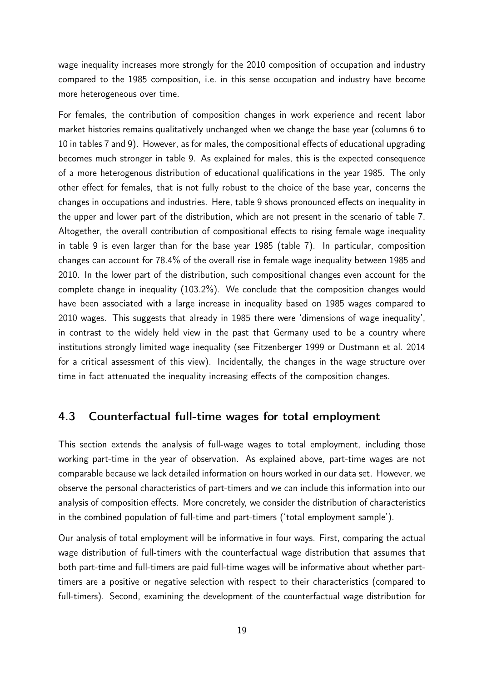wage inequality increases more strongly for the 2010 composition of occupation and industry compared to the 1985 composition, i.e. in this sense occupation and industry have become more heterogeneous over time.

For females, the contribution of composition changes in work experience and recent labor market histories remains qualitatively unchanged when we change the base year (columns 6 to 10 in tables 7 and 9). However, as for males, the compositional effects of educational upgrading becomes much stronger in table 9. As explained for males, this is the expected consequence of a more heterogenous distribution of educational qualifications in the year 1985. The only other effect for females, that is not fully robust to the choice of the base year, concerns the changes in occupations and industries. Here, table 9 shows pronounced effects on inequality in the upper and lower part of the distribution, which are not present in the scenario of table 7. Altogether, the overall contribution of compositional effects to rising female wage inequality in table 9 is even larger than for the base year 1985 (table 7). In particular, composition changes can account for 78.4% of the overall rise in female wage inequality between 1985 and 2010. In the lower part of the distribution, such compositional changes even account for the complete change in inequality (103.2%). We conclude that the composition changes would have been associated with a large increase in inequality based on 1985 wages compared to 2010 wages. This suggests that already in 1985 there were 'dimensions of wage inequality', in contrast to the widely held view in the past that Germany used to be a country where institutions strongly limited wage inequality (see Fitzenberger 1999 or Dustmann et al. 2014 for a critical assessment of this view). Incidentally, the changes in the wage structure over time in fact attenuated the inequality increasing effects of the composition changes.

### 4.3 Counterfactual full-time wages for total employment

This section extends the analysis of full-wage wages to total employment, including those working part-time in the year of observation. As explained above, part-time wages are not comparable because we lack detailed information on hours worked in our data set. However, we observe the personal characteristics of part-timers and we can include this information into our analysis of composition effects. More concretely, we consider the distribution of characteristics in the combined population of full-time and part-timers ('total employment sample').

Our analysis of total employment will be informative in four ways. First, comparing the actual wage distribution of full-timers with the counterfactual wage distribution that assumes that both part-time and full-timers are paid full-time wages will be informative about whether parttimers are a positive or negative selection with respect to their characteristics (compared to full-timers). Second, examining the development of the counterfactual wage distribution for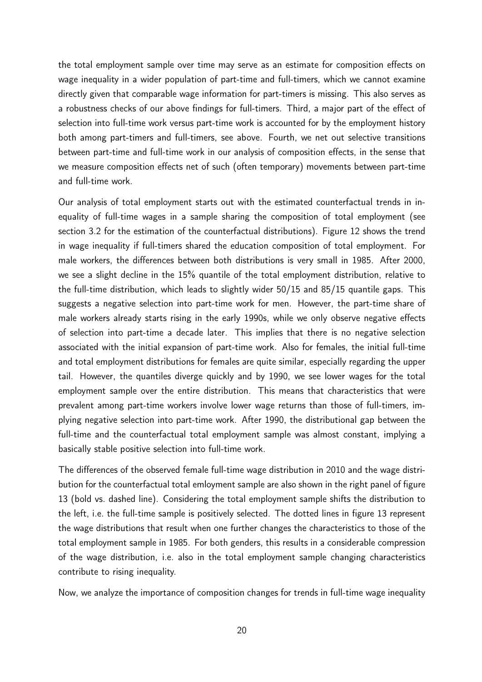the total employment sample over time may serve as an estimate for composition effects on wage inequality in a wider population of part-time and full-timers, which we cannot examine directly given that comparable wage information for part-timers is missing. This also serves as a robustness checks of our above findings for full-timers. Third, a major part of the effect of selection into full-time work versus part-time work is accounted for by the employment history both among part-timers and full-timers, see above. Fourth, we net out selective transitions between part-time and full-time work in our analysis of composition effects, in the sense that we measure composition effects net of such (often temporary) movements between part-time and full-time work.

Our analysis of total employment starts out with the estimated counterfactual trends in inequality of full-time wages in a sample sharing the composition of total employment (see section 3.2 for the estimation of the counterfactual distributions). Figure 12 shows the trend in wage inequality if full-timers shared the education composition of total employment. For male workers, the differences between both distributions is very small in 1985. After 2000, we see a slight decline in the 15% quantile of the total employment distribution, relative to the full-time distribution, which leads to slightly wider 50/15 and 85/15 quantile gaps. This suggests a negative selection into part-time work for men. However, the part-time share of male workers already starts rising in the early 1990s, while we only observe negative effects of selection into part-time a decade later. This implies that there is no negative selection associated with the initial expansion of part-time work. Also for females, the initial full-time and total employment distributions for females are quite similar, especially regarding the upper tail. However, the quantiles diverge quickly and by 1990, we see lower wages for the total employment sample over the entire distribution. This means that characteristics that were prevalent among part-time workers involve lower wage returns than those of full-timers, implying negative selection into part-time work. After 1990, the distributional gap between the full-time and the counterfactual total employment sample was almost constant, implying a basically stable positive selection into full-time work.

The differences of the observed female full-time wage distribution in 2010 and the wage distribution for the counterfactual total emloyment sample are also shown in the right panel of figure 13 (bold vs. dashed line). Considering the total employment sample shifts the distribution to the left, i.e. the full-time sample is positively selected. The dotted lines in figure 13 represent the wage distributions that result when one further changes the characteristics to those of the total employment sample in 1985. For both genders, this results in a considerable compression of the wage distribution, i.e. also in the total employment sample changing characteristics contribute to rising inequality.

Now, we analyze the importance of composition changes for trends in full-time wage inequality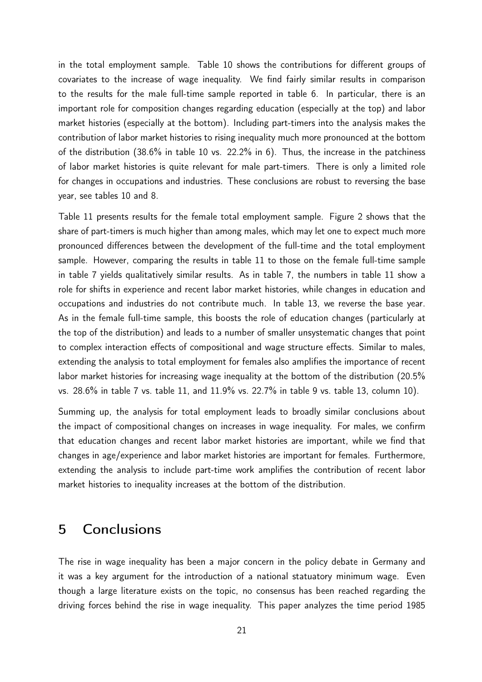in the total employment sample. Table 10 shows the contributions for different groups of covariates to the increase of wage inequality. We find fairly similar results in comparison to the results for the male full-time sample reported in table 6. In particular, there is an important role for composition changes regarding education (especially at the top) and labor market histories (especially at the bottom). Including part-timers into the analysis makes the contribution of labor market histories to rising inequality much more pronounced at the bottom of the distribution (38.6% in table 10 vs. 22.2% in 6). Thus, the increase in the patchiness of labor market histories is quite relevant for male part-timers. There is only a limited role for changes in occupations and industries. These conclusions are robust to reversing the base year, see tables 10 and 8.

Table 11 presents results for the female total employment sample. Figure 2 shows that the share of part-timers is much higher than among males, which may let one to expect much more pronounced differences between the development of the full-time and the total employment sample. However, comparing the results in table 11 to those on the female full-time sample in table 7 yields qualitatively similar results. As in table 7, the numbers in table 11 show a role for shifts in experience and recent labor market histories, while changes in education and occupations and industries do not contribute much. In table 13, we reverse the base year. As in the female full-time sample, this boosts the role of education changes (particularly at the top of the distribution) and leads to a number of smaller unsystematic changes that point to complex interaction effects of compositional and wage structure effects. Similar to males, extending the analysis to total employment for females also amplifies the importance of recent labor market histories for increasing wage inequality at the bottom of the distribution (20.5%) vs. 28.6% in table 7 vs. table 11, and 11.9% vs. 22.7% in table 9 vs. table 13, column 10).

Summing up, the analysis for total employment leads to broadly similar conclusions about the impact of compositional changes on increases in wage inequality. For males, we confirm that education changes and recent labor market histories are important, while we find that changes in age/experience and labor market histories are important for females. Furthermore, extending the analysis to include part-time work amplifies the contribution of recent labor market histories to inequality increases at the bottom of the distribution.

## 5 Conclusions

The rise in wage inequality has been a major concern in the policy debate in Germany and it was a key argument for the introduction of a national statuatory minimum wage. Even though a large literature exists on the topic, no consensus has been reached regarding the driving forces behind the rise in wage inequality. This paper analyzes the time period 1985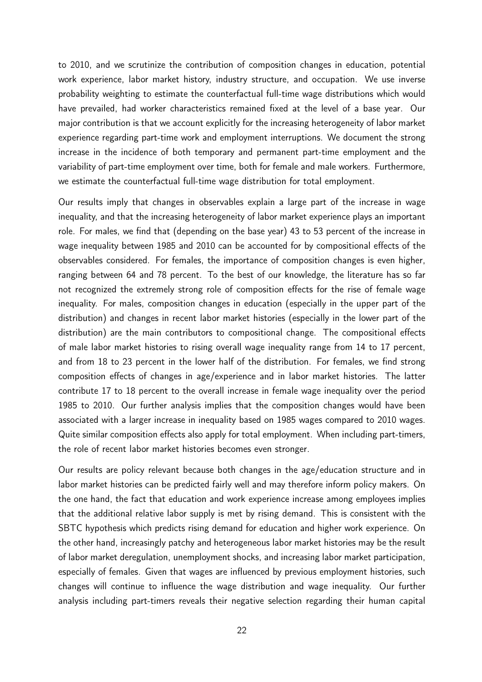to 2010, and we scrutinize the contribution of composition changes in education, potential work experience, labor market history, industry structure, and occupation. We use inverse probability weighting to estimate the counterfactual full-time wage distributions which would have prevailed, had worker characteristics remained fixed at the level of a base year. Our major contribution is that we account explicitly for the increasing heterogeneity of labor market experience regarding part-time work and employment interruptions. We document the strong increase in the incidence of both temporary and permanent part-time employment and the variability of part-time employment over time, both for female and male workers. Furthermore, we estimate the counterfactual full-time wage distribution for total employment.

Our results imply that changes in observables explain a large part of the increase in wage inequality, and that the increasing heterogeneity of labor market experience plays an important role. For males, we find that (depending on the base year) 43 to 53 percent of the increase in wage inequality between 1985 and 2010 can be accounted for by compositional effects of the observables considered. For females, the importance of composition changes is even higher, ranging between 64 and 78 percent. To the best of our knowledge, the literature has so far not recognized the extremely strong role of composition effects for the rise of female wage inequality. For males, composition changes in education (especially in the upper part of the distribution) and changes in recent labor market histories (especially in the lower part of the distribution) are the main contributors to compositional change. The compositional effects of male labor market histories to rising overall wage inequality range from 14 to 17 percent, and from 18 to 23 percent in the lower half of the distribution. For females, we find strong composition effects of changes in age/experience and in labor market histories. The latter contribute 17 to 18 percent to the overall increase in female wage inequality over the period 1985 to 2010. Our further analysis implies that the composition changes would have been associated with a larger increase in inequality based on 1985 wages compared to 2010 wages. Quite similar composition effects also apply for total employment. When including part-timers, the role of recent labor market histories becomes even stronger.

Our results are policy relevant because both changes in the age/education structure and in labor market histories can be predicted fairly well and may therefore inform policy makers. On the one hand, the fact that education and work experience increase among employees implies that the additional relative labor supply is met by rising demand. This is consistent with the SBTC hypothesis which predicts rising demand for education and higher work experience. On the other hand, increasingly patchy and heterogeneous labor market histories may be the result of labor market deregulation, unemployment shocks, and increasing labor market participation, especially of females. Given that wages are influenced by previous employment histories, such changes will continue to influence the wage distribution and wage inequality. Our further analysis including part-timers reveals their negative selection regarding their human capital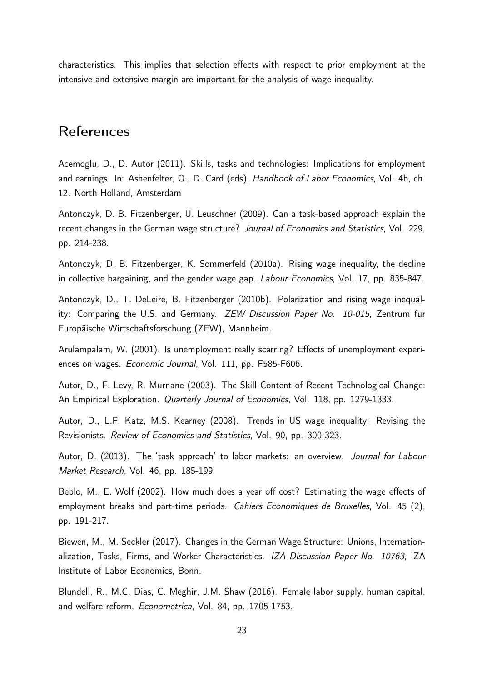characteristics. This implies that selection effects with respect to prior employment at the intensive and extensive margin are important for the analysis of wage inequality.

## References

Acemoglu, D., D. Autor (2011). Skills, tasks and technologies: Implications for employment and earnings. In: Ashenfelter, O., D. Card (eds), Handbook of Labor Economics, Vol. 4b, ch. 12. North Holland, Amsterdam

Antonczyk, D. B. Fitzenberger, U. Leuschner (2009). Can a task-based approach explain the recent changes in the German wage structure? Journal of Economics and Statistics, Vol. 229, pp. 214-238.

Antonczyk, D. B. Fitzenberger, K. Sommerfeld (2010a). Rising wage inequality, the decline in collective bargaining, and the gender wage gap. Labour Economics, Vol. 17, pp. 835-847.

Antonczyk, D., T. DeLeire, B. Fitzenberger (2010b). Polarization and rising wage inequality: Comparing the U.S. and Germany. ZEW Discussion Paper No. 10-015, Zentrum für Europäische Wirtschaftsforschung (ZEW), Mannheim.

Arulampalam, W. (2001). Is unemployment really scarring? Effects of unemployment experiences on wages. Economic Journal, Vol. 111, pp. F585-F606.

Autor, D., F. Levy, R. Murnane (2003). The Skill Content of Recent Technological Change: An Empirical Exploration. Quarterly Journal of Economics, Vol. 118, pp. 1279-1333.

Autor, D., L.F. Katz, M.S. Kearney (2008). Trends in US wage inequality: Revising the Revisionists. Review of Economics and Statistics, Vol. 90, pp. 300-323.

Autor, D. (2013). The 'task approach' to labor markets: an overview. Journal for Labour Market Research, Vol. 46, pp. 185-199.

Beblo, M., E. Wolf (2002). How much does a year off cost? Estimating the wage effects of employment breaks and part-time periods. Cahiers Economiques de Bruxelles, Vol. 45 (2), pp. 191-217.

Biewen, M., M. Seckler (2017). Changes in the German Wage Structure: Unions, Internationalization, Tasks, Firms, and Worker Characteristics. IZA Discussion Paper No. 10763, IZA Institute of Labor Economics, Bonn.

Blundell, R., M.C. Dias, C. Meghir, J.M. Shaw (2016). Female labor supply, human capital, and welfare reform. Econometrica, Vol. 84, pp. 1705-1753.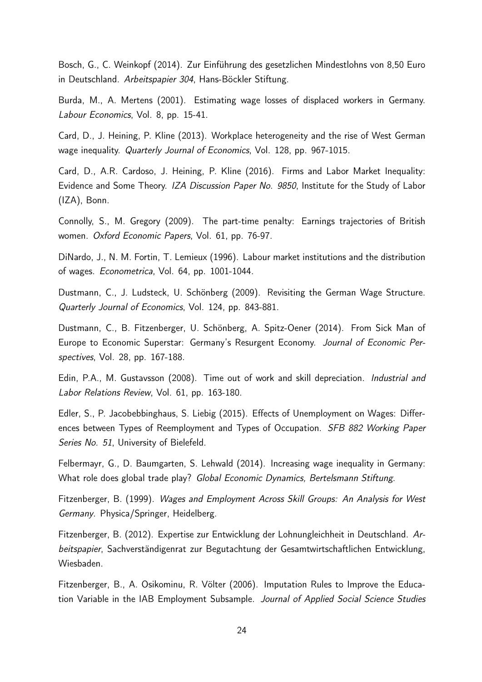Bosch, G., C. Weinkopf (2014). Zur Einführung des gesetzlichen Mindestlohns von 8,50 Euro in Deutschland. Arbeitspapier 304, Hans-Böckler Stiftung.

Burda, M., A. Mertens (2001). Estimating wage losses of displaced workers in Germany. Labour Economics, Vol. 8, pp. 15-41.

Card, D., J. Heining, P. Kline (2013). Workplace heterogeneity and the rise of West German wage inequality. Quarterly Journal of Economics, Vol. 128, pp. 967-1015.

Card, D., A.R. Cardoso, J. Heining, P. Kline (2016). Firms and Labor Market Inequality: Evidence and Some Theory. IZA Discussion Paper No. 9850, Institute for the Study of Labor (IZA), Bonn.

Connolly, S., M. Gregory (2009). The part-time penalty: Earnings trajectories of British women. Oxford Economic Papers, Vol. 61, pp. 76-97.

DiNardo, J., N. M. Fortin, T. Lemieux (1996). Labour market institutions and the distribution of wages. Econometrica, Vol. 64, pp. 1001-1044.

Dustmann, C., J. Ludsteck, U. Schönberg (2009). Revisiting the German Wage Structure. Quarterly Journal of Economics, Vol. 124, pp. 843-881.

Dustmann, C., B. Fitzenberger, U. Schönberg, A. Spitz-Oener (2014). From Sick Man of Europe to Economic Superstar: Germany's Resurgent Economy. Journal of Economic Perspectives, Vol. 28, pp. 167-188.

Edin, P.A., M. Gustavsson (2008). Time out of work and skill depreciation. Industrial and Labor Relations Review, Vol. 61, pp. 163-180.

Edler, S., P. Jacobebbinghaus, S. Liebig (2015). Effects of Unemployment on Wages: Differences between Types of Reemployment and Types of Occupation. SFB 882 Working Paper Series No. 51, University of Bielefeld.

Felbermayr, G., D. Baumgarten, S. Lehwald (2014). Increasing wage inequality in Germany: What role does global trade play? Global Economic Dynamics, Bertelsmann Stiftung.

Fitzenberger, B. (1999). Wages and Employment Across Skill Groups: An Analysis for West Germany. Physica/Springer, Heidelberg.

Fitzenberger, B. (2012). Expertise zur Entwicklung der Lohnungleichheit in Deutschland. Arbeitspapier, Sachverständigenrat zur Begutachtung der Gesamtwirtschaftlichen Entwicklung, Wiesbaden.

Fitzenberger, B., A. Osikominu, R. Völter (2006). Imputation Rules to Improve the Education Variable in the IAB Employment Subsample. Journal of Applied Social Science Studies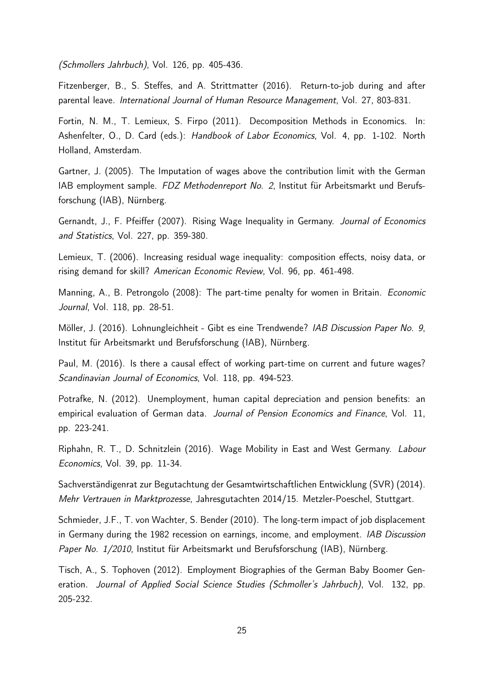(Schmollers Jahrbuch), Vol. 126, pp. 405-436.

Fitzenberger, B., S. Steffes, and A. Strittmatter (2016). Return-to-job during and after parental leave. International Journal of Human Resource Management, Vol. 27, 803-831.

Fortin, N. M., T. Lemieux, S. Firpo (2011). Decomposition Methods in Economics. In: Ashenfelter, O., D. Card (eds.): Handbook of Labor Economics, Vol. 4, pp. 1-102. North Holland, Amsterdam.

Gartner, J. (2005). The Imputation of wages above the contribution limit with the German IAB employment sample. FDZ Methodenreport No. 2, Institut für Arbeitsmarkt und Berufsforschung (IAB), Nürnberg.

Gernandt, J., F. Pfeiffer (2007). Rising Wage Inequality in Germany. Journal of Economics and Statistics, Vol. 227, pp. 359-380.

Lemieux, T. (2006). Increasing residual wage inequality: composition effects, noisy data, or rising demand for skill? American Economic Review, Vol. 96, pp. 461-498.

Manning, A., B. Petrongolo (2008): The part-time penalty for women in Britain. *Economic* Journal, Vol. 118, pp. 28-51.

Möller, J. (2016). Lohnungleichheit - Gibt es eine Trendwende? IAB Discussion Paper No. 9, Institut für Arbeitsmarkt und Berufsforschung (IAB), Nürnberg.

Paul, M. (2016). Is there a causal effect of working part-time on current and future wages? Scandinavian Journal of Economics, Vol. 118, pp. 494-523.

Potrafke, N. (2012). Unemployment, human capital depreciation and pension benefits: an empirical evaluation of German data. Journal of Pension Economics and Finance, Vol. 11, pp. 223-241.

Riphahn, R. T., D. Schnitzlein (2016). Wage Mobility in East and West Germany. Labour Economics, Vol. 39, pp. 11-34.

Sachverständigenrat zur Begutachtung der Gesamtwirtschaftlichen Entwicklung (SVR) (2014). Mehr Vertrauen in Marktprozesse, Jahresgutachten 2014/15. Metzler-Poeschel, Stuttgart.

Schmieder, J.F., T. von Wachter, S. Bender (2010). The long-term impact of job displacement in Germany during the 1982 recession on earnings, income, and employment. IAB Discussion Paper No. 1/2010, Institut für Arbeitsmarkt und Berufsforschung (IAB), Nürnberg.

Tisch, A., S. Tophoven (2012). Employment Biographies of the German Baby Boomer Generation. Journal of Applied Social Science Studies (Schmoller's Jahrbuch), Vol. 132, pp. 205-232.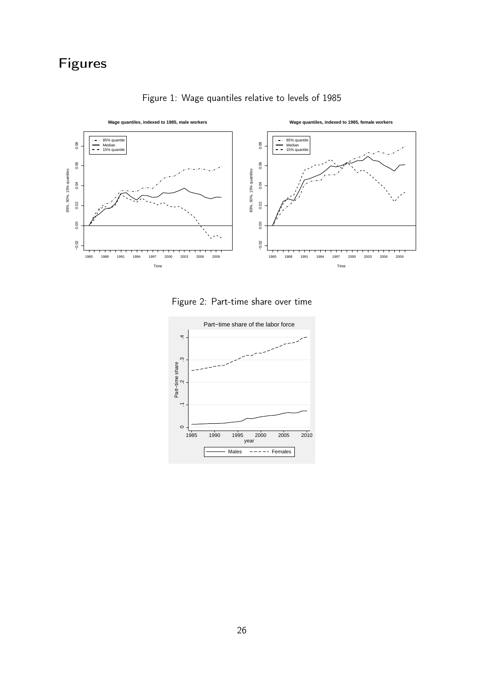

Figure 1: Wage quantiles relative to levels of 1985

Figure 2: Part-time share over time

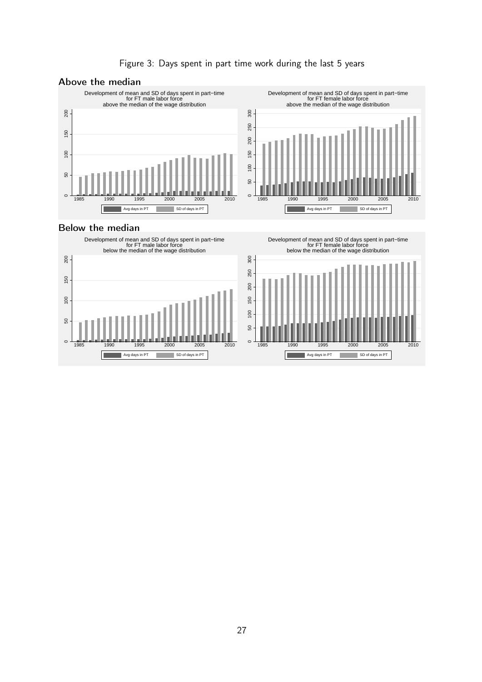

#### Figure 3: Days spent in part time work during the last 5 years

#### Below the median



1985 1990 1995 2000 2005 2010 Development of mean and SD of days spent in part−time for FT female labor force below the median of the wage distribution

> Avg days in PT SD of days in PT ä,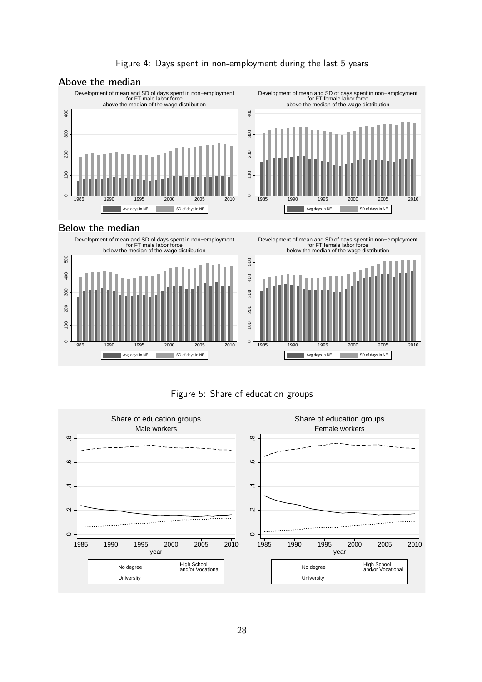

#### Figure 4: Days spent in non-employment during the last 5 years

#### Below the median







Figure 5: Share of education groups

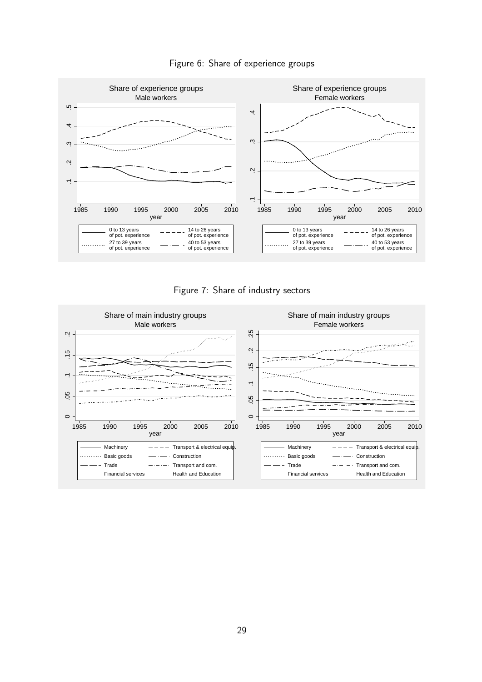

#### Figure 6: Share of experience groups



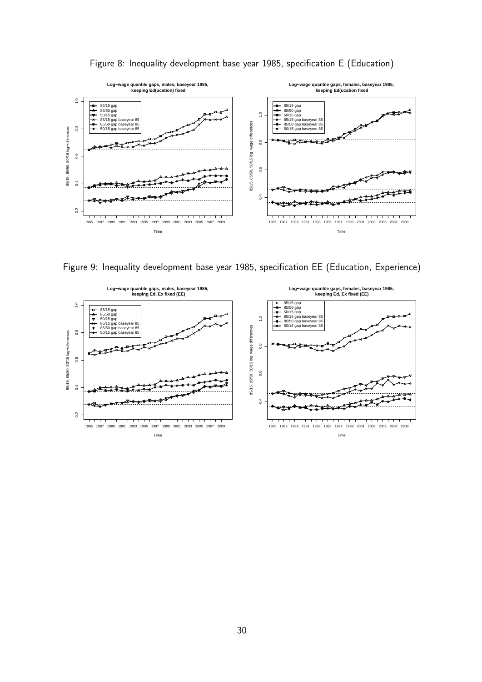

Figure 8: Inequality development base year 1985, specification E (Education)

Figure 9: Inequality development base year 1985, specification EE (Education, Experience)

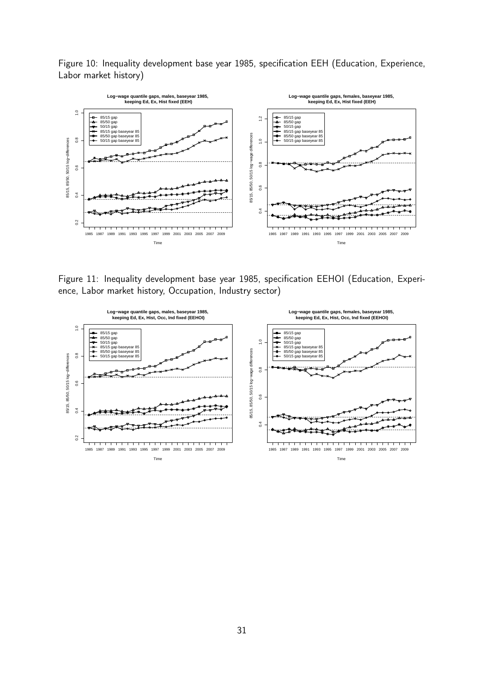Figure 10: Inequality development base year 1985, specification EEH (Education, Experience, Labor market history)



Figure 11: Inequality development base year 1985, specification EEHOI (Education, Experience, Labor market history, Occupation, Industry sector)

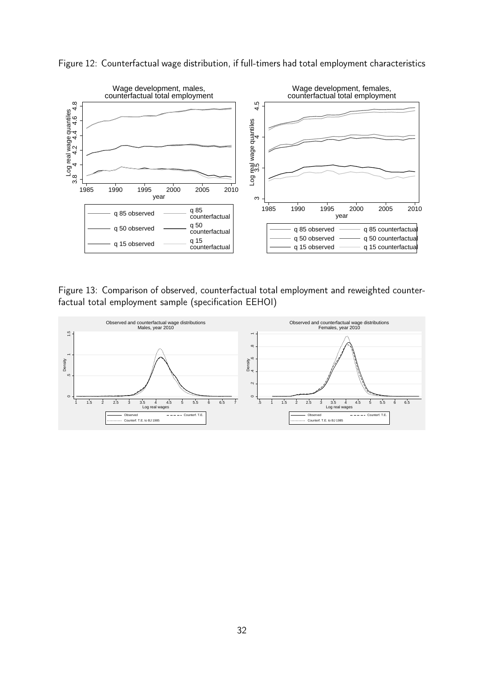

Figure 12: Counterfactual wage distribution, if full-timers had total employment characteristics

Figure 13: Comparison of observed, counterfactual total employment and reweighted counterfactual total employment sample (specification EEHOI)

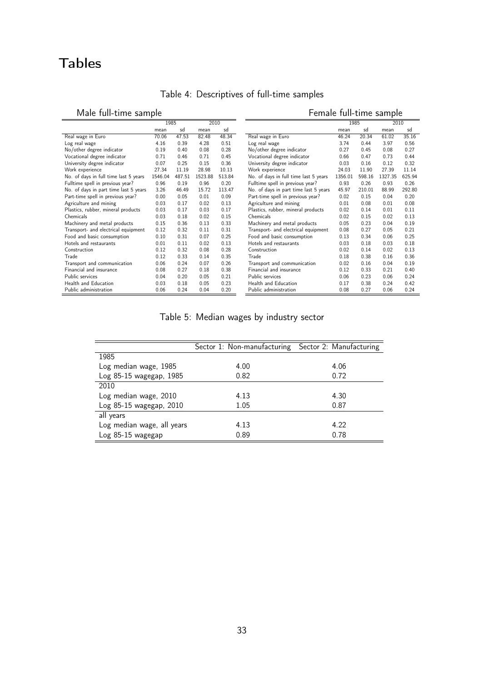# Tables

l.

| ividio idii tiilio sailipio           |         |        |         |        |
|---------------------------------------|---------|--------|---------|--------|
|                                       | 1985    |        | 2010    |        |
|                                       | mean    | sd     | mean    | sd     |
| Real wage in Euro                     | 70.06   | 47.53  | 82.48   | 48.34  |
| Log real wage                         | 4.16    | 0.39   | 4.28    | 0.51   |
| No/other degree indicator             | 0.19    | 0.40   | 0.08    | 0.28   |
| Vocational degree indicator           | 0.71    | 0.46   | 0.71    | 0.45   |
| University degree indicator           | 0.07    | 0.25   | 0.15    | 0.36   |
| Work experience                       | 27.34   | 11.19  | 28.98   | 10.13  |
| No. of days in full time last 5 years | 1546.04 | 487.51 | 1523.88 | 513.84 |
| Fulltime spell in previous year?      | 0.96    | 0.19   | 0.96    | 0.20   |
| No. of days in part time last 5 years | 3.26    | 46.49  | 15.72   | 113.47 |
| Part-time spell in previous year?     | 0.00    | 0.05   | 0.01    | 0.09   |
| Agriculture and mining                | 0.03    | 0.17   | 0.02    | 0.13   |
| Plastics, rubber, mineral products    | 0.03    | 0.17   | 0.03    | 0.17   |
| Chemicals                             | 0.03    | 0.18   | 0.02    | 0.15   |
| Machinery and metal products          | 0.15    | 0.36   | 0.13    | 0.33   |
| Transport- and electrical equipment   | 0.12    | 0.32   | 0.11    | 0.31   |
| Food and basic consumption            | 0.10    | 0.31   | 0.07    | 0.25   |
| Hotels and restaurants                | 0.01    | 0.11   | 0.02    | 0.13   |
| Construction                          | 0.12    | 0.32   | 0.08    | 0.28   |
| Trade                                 | 0.12    | 0.33   | 0.14    | 0.35   |
| Transport and communication           | 0.06    | 0.24   | 0.07    | 0.26   |
| Financial and insurance               | 0.08    | 0.27   | 0.18    | 0.38   |
| Public services                       | 0.04    | 0.20   | 0.05    | 0.21   |
| Health and Education                  | 0.03    | 0.18   | 0.05    | 0.23   |
| Public administration                 | 0.06    | 0.24   | 0.04    | 0.20   |

## Table 4: Descriptives of full-time samples

| Male full-time sample             |         |        |         |        | Female full-time sample               |         |        |         |        |
|-----------------------------------|---------|--------|---------|--------|---------------------------------------|---------|--------|---------|--------|
|                                   | 1985    |        | 2010    |        |                                       | 1985    |        | 2010    |        |
|                                   | mean    | sd     | mean    | sd     |                                       | mean    | sd     | mean    | sd     |
| wage in Euro                      | 70.06   | 47.53  | 82.48   | 48.34  | Real wage in Euro                     | 46.24   | 20.34  | 61.02   | 35.16  |
| real wage                         | 4.16    | 0.39   | 4.28    | 0.51   | Log real wage                         | 3.74    | 0.44   | 3.97    | 0.56   |
| other degree indicator            | 0.19    | 0.40   | 0.08    | 0.28   | No/other degree indicator             | 0.27    | 0.45   | 0.08    | 0.27   |
| itional degree indicator          | 0.71    | 0.46   | 0.71    | 0.45   | Vocational degree indicator           | 0.66    | 0.47   | 0.73    | 0.44   |
| ersity degree indicator           | 0.07    | 0.25   | 0.15    | 0.36   | University degree indicator           | 0.03    | 0.16   | 0.12    | 0.32   |
| k experience                      | 27.34   | 11.19  | 28.98   | 10.13  | Work experience                       | 24.03   | 11.90  | 27.39   | 11.14  |
| of days in full time last 5 years | 1546.04 | 487.51 | 1523.88 | 513.84 | No. of days in full time last 5 years | 1356.01 | 598.16 | 1327.35 | 625.94 |
| ime spell in previous year?       | 0.96    | 0.19   | 0.96    | 0.20   | Fulltime spell in previous year?      | 0.93    | 0.26   | 0.93    | 0.26   |
| of days in part time last 5 years | 3.26    | 46.49  | 15.72   | 113.47 | No. of days in part time last 5 years | 45.97   | 210.01 | 88.99   | 292.80 |
| time spell in previous year?      | 0.00    | 0.05   | 0.01    | 0.09   | Part-time spell in previous year?     | 0.02    | 0.15   | 0.04    | 0.20   |
| culture and mining                | 0.03    | 0.17   | 0.02    | 0.13   | Agriculture and mining                | 0.01    | 0.08   | 0.01    | 0.08   |
| tics, rubber, mineral products    | 0.03    | 0.17   | 0.03    | 0.17   | Plastics, rubber, mineral products    | 0.02    | 0.14   | 0.01    | 0.11   |
| nicals                            | 0.03    | 0.18   | 0.02    | 0.15   | Chemicals                             | 0.02    | 0.15   | 0.02    | 0.13   |
| hinery and metal products         | 0.15    | 0.36   | 0.13    | 0.33   | Machinery and metal products          | 0.05    | 0.23   | 0.04    | 0.19   |
| sport- and electrical equipment   | 0.12    | 0.32   | 0.11    | 0.31   | Transport- and electrical equipment   | 0.08    | 0.27   | 0.05    | 0.21   |
| and basic consumption             | 0.10    | 0.31   | 0.07    | 0.25   | Food and basic consumption            | 0.13    | 0.34   | 0.06    | 0.25   |
| ls and restaurants                | 0.01    | 0.11   | 0.02    | 0.13   | Hotels and restaurants                | 0.03    | 0.18   | 0.03    | 0.18   |
| struction                         | 0.12    | 0.32   | 0.08    | 0.28   | Construction                          | 0.02    | 0.14   | 0.02    | 0.13   |
| e                                 | 0.12    | 0.33   | 0.14    | 0.35   | Trade                                 | 0.18    | 0.38   | 0.16    | 0.36   |
| sport and communication           | 0.06    | 0.24   | 0.07    | 0.26   | Transport and communication           | 0.02    | 0.16   | 0.04    | 0.19   |
| ncial and insurance               | 0.08    | 0.27   | 0.18    | 0.38   | Financial and insurance               | 0.12    | 0.33   | 0.21    | 0.40   |
| ic services                       | 0.04    | 0.20   | 0.05    | 0.21   | Public services                       | 0.06    | 0.23   | 0.06    | 0.24   |
| th and Education                  | 0.03    | 0.18   | 0.05    | 0.23   | Health and Education                  | 0.17    | 0.38   | 0.24    | 0.42   |
| ic administration                 | 0.06    | 0.24   | 0.04    | 0.20   | Public administration                 | 0.08    | 0.27   | 0.06    | 0.24   |

Table 5: Median wages by industry sector

|                            | Sector 1: Non-manufacturing | Sector 2: Manufacturing |
|----------------------------|-----------------------------|-------------------------|
| 1985                       |                             |                         |
| Log median wage, 1985      | 4.00                        | 4.06                    |
| Log 85-15 wagegap, 1985    | 0.82                        | 0.72                    |
| 2010                       |                             |                         |
| Log median wage, 2010      | 4.13                        | 4.30                    |
| Log 85-15 wagegap, 2010    | 1.05                        | 0.87                    |
| all years                  |                             |                         |
| Log median wage, all years | 4.13                        | 4.22                    |
| Log 85-15 wagegap          | 0.89                        | 0.78                    |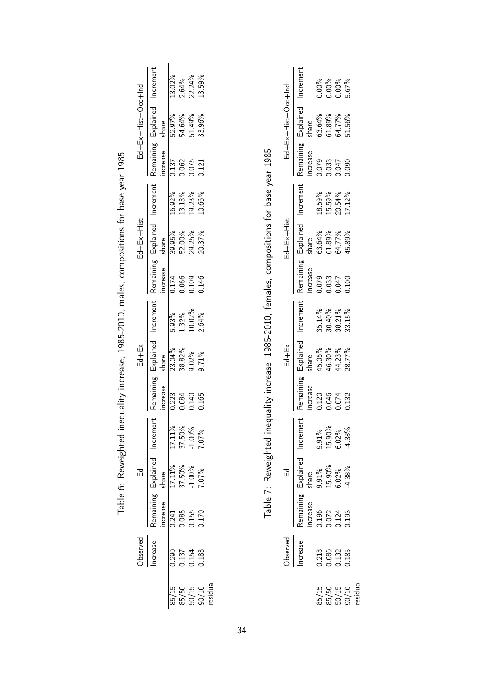| Remaining<br>ncrease<br>0.241<br>0.085<br>0.155 | Explained<br>share<br>17.11%<br>37.50%<br>-1.00%<br>7.07%<br>品 | Increme<br>17.11%<br>37.50%<br>-1.00%<br>7.07% | Remaining<br>ncrease<br>$\frac{223}{0.084}$ | Explained<br>$Ed+Ex$<br>23.04%<br>38.82%<br>9.02%<br>share | Increment<br>5.93%<br>1.32%<br>10.02%<br>2.64% | Remaining Explained<br>Annaining Explained<br>Anne<br>$\frac{174}{0.066}$<br>0.000<br>0.146 | Ed+Ex+Hist<br>39.95%<br>52.00%<br>29.25% | Increment<br>16.92%<br>13.18%<br>19.23% | increase<br>0.137<br>0.062<br>0.075<br>0.121 | Pd-+50+txiH+xiH+pd<br>Remaining Explained<br>52.97%<br>54.64%<br>51.49%<br>share | Increment<br>$13.02\%$<br>$2.64\%$<br>$22.24\%$ |
|-------------------------------------------------|----------------------------------------------------------------|------------------------------------------------|---------------------------------------------|------------------------------------------------------------|------------------------------------------------|---------------------------------------------------------------------------------------------|------------------------------------------|-----------------------------------------|----------------------------------------------|----------------------------------------------------------------------------------|-------------------------------------------------|
|                                                 |                                                                |                                                | 1165                                        | 9.71%                                                      |                                                |                                                                                             | 10.37%                                   | $0.66\%$                                |                                              | 33.96%                                                                           | $13.59\%$                                       |

Table 7: Reweighted inequality increase, 1985-2010, females, compositions for base year 1985 Table 7: Reweighted inequality increase, 1985-2010, females, compositions for base year 1985

|                  | Increment                                                                                                       |                                               | 0.00%<br>0.00%<br>0.00%<br>5.67%                                     |       |                                              |
|------------------|-----------------------------------------------------------------------------------------------------------------|-----------------------------------------------|----------------------------------------------------------------------|-------|----------------------------------------------|
| Ed+50+tsiH+xH+pd | Remaining Explained                                                                                             | share<br>63.64%<br>61.89%<br>54.77%<br>51.56% |                                                                      |       |                                              |
|                  |                                                                                                                 | increase<br>0.079<br>0.033<br>0.047<br>0.090  |                                                                      |       |                                              |
|                  | Increment                                                                                                       |                                               | 18.59%<br>15.59%<br>20.54%                                           |       | 17.12%                                       |
| $Ed+Ex+Hist$     |                                                                                                                 |                                               |                                                                      |       |                                              |
|                  | Remaining Explained 1<br>increase share<br>0.079 63.64% 1<br>0.033 61.89% 2<br>0.047 64.77% 2<br>0.100 45.89% 1 |                                               |                                                                      |       |                                              |
|                  | Increment                                                                                                       |                                               | 35.14%<br>30.40%<br>38.21%<br>33.15%                                 |       |                                              |
| $Ed+Ex$          | Similarined<br>Share<br>Share                                                                                   |                                               | 15.05%<br>16.30%<br>14.23%                                           |       | 28.77%                                       |
|                  | Remaining<br>acrease                                                                                            |                                               | $\frac{120}{1.120}$<br>0.046                                         |       | 1132                                         |
|                  | Increme                                                                                                         |                                               | $\begin{array}{l} 9.91\% \\ 15.90\% \\ 6.02\% \\ 4.38\% \end{array}$ |       |                                              |
|                  | Explained<br>share                                                                                              |                                               | $\frac{9.91\%}{15.90\%}$<br>0.02%<br>4.38%                           |       |                                              |
|                  | Remaining<br>ncrease                                                                                            |                                               | $\frac{196}{1.196}$<br>$\frac{2072}{1.124}$<br>$\frac{3072}{1.193}$  |       |                                              |
| bserved          | ncrease                                                                                                         | 0.218                                         | 0.086                                                                | 0.132 | 1.185                                        |
|                  |                                                                                                                 |                                               |                                                                      |       | 85/15<br>85/50<br>86/15<br>90/10<br>residual |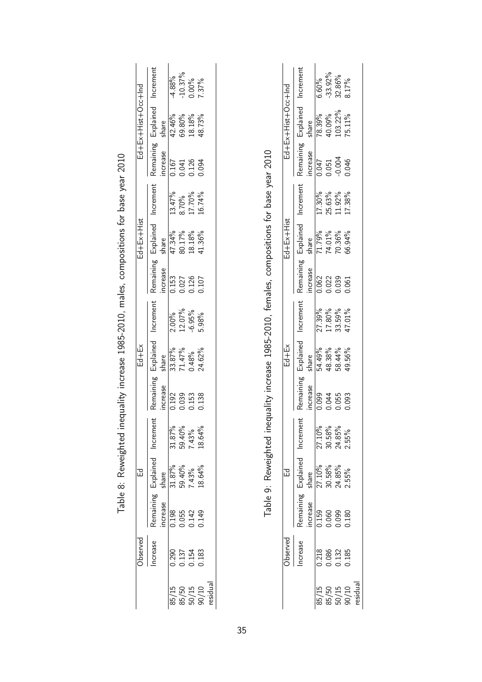|                                     | bserved                          |                                  | 品                                            |                                     |                                                                                                    | $Ed+Ex$                                                                |                                              |                                                                                       | $Ed+Ex+Hist$ |                                     |                         | Pul+30+tsiH+xiH+pi  |                                   |
|-------------------------------------|----------------------------------|----------------------------------|----------------------------------------------|-------------------------------------|----------------------------------------------------------------------------------------------------|------------------------------------------------------------------------|----------------------------------------------|---------------------------------------------------------------------------------------|--------------|-------------------------------------|-------------------------|---------------------|-----------------------------------|
|                                     | ncrease                          |                                  | Remaining Explained                          | Increme                             | Remaining                                                                                          | Explained                                                              | Increment                                    | Remaining Explained<br>increase share<br>0.153 47.34%<br>0.027 80.17%<br>0.126 18.18% |              | Increment                           |                         | Remaining Explained | Increment                         |
|                                     |                                  | ncrease                          |                                              |                                     | ncrease                                                                                            | share                                                                  |                                              |                                                                                       |              |                                     | ncrease                 | share               |                                   |
|                                     |                                  |                                  |                                              |                                     |                                                                                                    |                                                                        |                                              |                                                                                       |              |                                     |                         | 42.46%              | $-4.88\%$                         |
|                                     | 0.290<br>0.137<br>0.154<br>0.183 | 0.198<br>0.055<br>0.149<br>0.149 | share<br>31.87%<br>59.40%<br>7.43%<br>18.64% | 31.87%<br>59.40%<br>7.43%<br>18.64% | $\frac{1}{2}$<br>$\frac{1}{2}$<br>$\frac{3}{2}$<br>$\frac{3}{2}$<br>$\frac{3}{2}$<br>$\frac{3}{2}$ | $\begin{array}{l} 33.87\% \\ 71.47\% \\ 0.48\% \\ 24.62\% \end{array}$ | $\frac{2.00\%}{12.07\%}$<br>12.07%<br>-6.95% | $\frac{\frac{1}{100}}{\frac{0.153}{0.027}}$<br>0.027<br>0.126<br>0.107                |              | 13.47%<br>8.70%<br>17.70%<br>16.74% | 0.167<br>0.041<br>0.094 | 59.80%              |                                   |
|                                     |                                  |                                  |                                              |                                     |                                                                                                    |                                                                        |                                              |                                                                                       |              |                                     |                         | 18.18%              | $10.37\%$<br>$0.00\%$<br>$7.37\%$ |
| 85/15<br>85/50<br>90/10<br>residual |                                  |                                  |                                              |                                     | 0.138                                                                                              |                                                                        |                                              |                                                                                       | 11.36%       |                                     |                         | 18.73%              |                                   |
|                                     |                                  |                                  |                                              |                                     |                                                                                                    |                                                                        |                                              |                                                                                       |              |                                     |                         |                     |                                   |

| L Dase Aegl 50.10                                                   |
|---------------------------------------------------------------------|
|                                                                     |
|                                                                     |
| $\ddot{\ }$                                                         |
| ינטיי ניני בית בית בית המסגר היה בית המסגר המסגר ה<br>frint)<br>Day |
|                                                                     |
| こうしく                                                                |
|                                                                     |
|                                                                     |
| )<br>)<br>)<br>                                                     |
| ;<br>;<br>;<br>$\overline{\phantom{a}}$                             |
|                                                                     |
| $\mathsf{L}$                                                        |

|                   | Increment                                                            |         |                       |       | 6.60%<br>-33.92%<br>32.86%                                   | 3.17%                                           |
|-------------------|----------------------------------------------------------------------|---------|-----------------------|-------|--------------------------------------------------------------|-------------------------------------------------|
| Pul+30+siH+xiH+pi | Remaining Explained                                                  |         |                       |       | share<br>78.39%<br>40.09%<br>103.22%<br>15.11%               |                                                 |
|                   |                                                                      |         |                       |       | increase<br>0.047<br>0.051<br>0.0046<br>0.046                |                                                 |
|                   | ncrement                                                             |         |                       |       | 17.30%<br>25.63%<br>11.92%                                   | 17.38%                                          |
| $Ed+Ex+Hist$      | Explained<br>share<br>71.79%<br>74.01%<br>70.36%<br>70.36%<br>66.94% |         |                       |       |                                                              |                                                 |
|                   | Remaining                                                            |         |                       |       | increase<br>$\frac{0.062}{0.062}$<br>0.022<br>0.039<br>0.061 |                                                 |
|                   | ncrement                                                             |         |                       |       | 27.39%<br>17.80%<br>33.59%<br>47.01%                         |                                                 |
| $=$ d $+$ Ex      | Explained                                                            | share   |                       |       | 54.49%<br>48.38%<br>58.44%<br>19.56%                         |                                                 |
|                   | Remaining                                                            | ncrease | $\frac{100}{0.34}$    |       |                                                              | 0.093                                           |
|                   | Incremer                                                             |         |                       |       | 27.10%<br>30.58%<br>24.85%<br>2.55%                          |                                                 |
|                   | + Explained                                                          |         |                       |       | share<br>27.10%<br>30.58%<br>24.85%<br>2.55%                 |                                                 |
|                   | Remaining                                                            | ncrease | 159<br>0.060<br>0.099 |       |                                                              | 0.180                                           |
| bserved           | ncrease                                                              |         | 0.218                 | 0.086 | 0.132                                                        | 1.185                                           |
|                   |                                                                      |         |                       |       |                                                              | 85/15<br>85/50<br>90/10<br>residual<br>residual |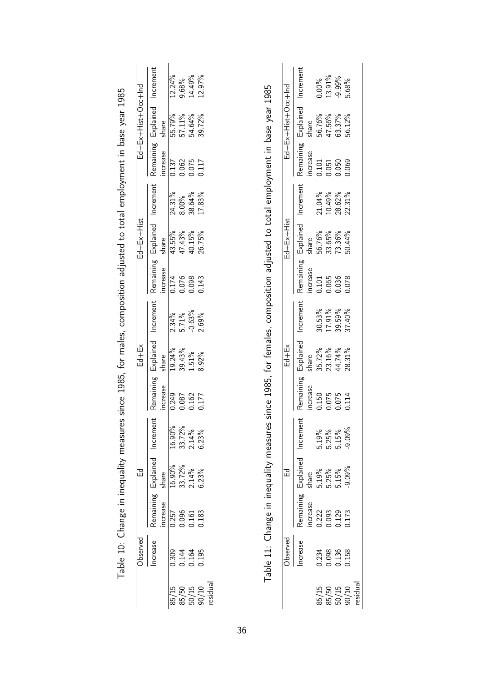|                    | Table 10: Change in inequality measures since 1985, for males, composition adjusted to total employment in base year 1985 |                         |                    |                         |                       |                    |           |                       |                    |                  |                      |                    |           |
|--------------------|---------------------------------------------------------------------------------------------------------------------------|-------------------------|--------------------|-------------------------|-----------------------|--------------------|-----------|-----------------------|--------------------|------------------|----------------------|--------------------|-----------|
|                    | Observed                                                                                                                  |                         | 品                  |                         |                       | $Ed+Ex$            |           |                       | Ed+Ex+Hist         |                  |                      | PU-+30+1s!H+X山+P山  |           |
|                    | Increase                                                                                                                  | Remaining<br>increase   | Explained<br>share | Increment               | Remaining<br>increase | Explained<br>share | Increment | Remaining<br>increase | Explained<br>share | Increment        | Remaining<br>ncrease | Explained<br>share | Increment |
| 85/15              | 0.309                                                                                                                     | 0.257                   | 16.90%             | 16.90%                  | 0.249                 | 19.24%             | 2.34%     | 0.174                 | 43.55%             | 24.31%           | 0.137                | 55.79%             | $12.24\%$ |
|                    |                                                                                                                           |                         | 33.72%             | 33.72%                  | 0.087                 | 39.43%             | 5.71%     | 0.076                 | 47.43%             | 8.00%            | 0.062                | 57.11%             | 9.68%     |
| $\frac{85}{50}$ 50 | 0.144<br>0.164                                                                                                            | 0.096<br>0.161          | $2.14\%$           | 2.14%                   | 0.162                 | $1.51\%$           | $-0.63%$  | 0.098                 | 40.15%             | 38.64%           | 0.075                | 54.64%             | 14.49%    |
| residual<br>90/10  | 0.195                                                                                                                     | 0.183                   | 6.23%              | 6.23%                   | 0.177                 | 8.92%              | 2.69%     | 0.143                 | 26.75%             | 17.83%           | 0.117                | 39.72%             | 12.97%    |
|                    | Observed                                                                                                                  |                         | 묘                  |                         |                       | Ed+터               |           |                       | $Ed+Ex+Hist$       |                  |                      | Pd-+30+txiH+xiH+pd |           |
|                    | Increase                                                                                                                  | Remaining               | Explained          | Increment               | Remaining             | Explained          | Increment | Remaining             | Explained          | Increment        | Remaining            | Explained          | Increment |
|                    |                                                                                                                           | increase                | share              |                         | increase              | share              |           | ncrease               | share              |                  | ncrease              | share              |           |
| 85/15              | 0.234                                                                                                                     | 0.222                   | 5.19%              |                         | 0.150                 | 35.72%             | 30.53%    | 0.101                 | 56.76%             | 21.04%           | 0.101                | 56.76%             | 0.00%     |
|                    |                                                                                                                           |                         |                    |                         | 0.075                 | 23.16%             | 17.91%    | 0.065                 | 33.65%             |                  | 0.051                | 47.56%             | 13.91%    |
| $\frac{85}{50}/15$ | 0.098<br>0.136<br>0.158                                                                                                   | 0.093<br>0.129<br>0.173 | 5.25%<br>5.15%     | 5.19%<br>5.25%<br>5.15% | 0.075                 | 44.74%             | 39.59%    | 0.036                 | 73.36%             | 10.49%<br>28.62% | 0.050                | 63.37%             | $-9.99%$  |
| 90/10              |                                                                                                                           |                         | $-9.09%$           | $-9.09%$                | 0.114                 | 28.31%             | 37.40%    | 0.078                 | 50.44%             | 22.31%           | 0.069                | 56.12%             | 5.68%     |

0.158 0.173 -9.09% -9.09% 0.114 28.31% 37.40% 0.078 50.44% 22.31% 0.069 56.12% 5.68%

90/10 residual

| n<br>۲<br>ı |
|-------------|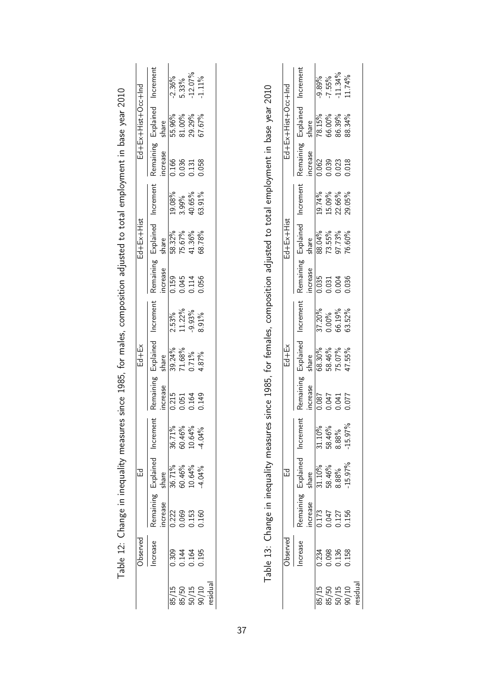|                                                                                                                           |                    | Increment                      | $-2.36\%$ | 5.33%                   | $-12.07\%$              | $-1.11\%$ |                                                                                                                             |  |
|---------------------------------------------------------------------------------------------------------------------------|--------------------|--------------------------------|-----------|-------------------------|-------------------------|-----------|-----------------------------------------------------------------------------------------------------------------------------|--|
|                                                                                                                           | pul+300+1s!H+x山+p山 | Explained<br>share             | 55.96%    | 81.00%                  | 29.29%                  | 57.67%    |                                                                                                                             |  |
|                                                                                                                           |                    | Remaining<br>increase          | 0.166     | 0.036                   | 0.131                   | 0.058     |                                                                                                                             |  |
| Table 12: Change in inequality measures since 1985, for males, composition adjusted to total employment in base year 2010 |                    | Increment                      | 19.08%    | 3.99%                   | 40.65%                  | 63.91%    | Table 13: Change in inequality measures since 1985, for females, composition adjusted to total employment in base year 2010 |  |
|                                                                                                                           | Ed+Ex+Hist         | share                          | 58.32%    | 75.67%                  | 41.36%                  | 68.78%    |                                                                                                                             |  |
|                                                                                                                           |                    | Remaining Explained<br>ncrease | 0.159     |                         | 0.045<br>0.114          | 0.056     |                                                                                                                             |  |
|                                                                                                                           |                    | Increment                      | $2.53\%$  | 11.22%                  | $-9.93\%$               | 8.91%     |                                                                                                                             |  |
|                                                                                                                           | Ed+Ex              | Explained<br>share             | 39.24%    | 71.68%                  | $0.71\%$                | 4.87%     |                                                                                                                             |  |
|                                                                                                                           |                    | Remaining<br>increase          | 0.215     |                         | 0.051<br>0.164          | 0.149     |                                                                                                                             |  |
|                                                                                                                           |                    | Increment                      | 36.71%    |                         | 60.46%<br>10.64%        | 4.04%     |                                                                                                                             |  |
|                                                                                                                           | 记                  | Remaining Explained<br>share   | 36.71%    | 60.46%<br>10.64%        |                         | 4.04%     |                                                                                                                             |  |
|                                                                                                                           |                    | increase                       |           | 0.222<br>0.069<br>0.153 |                         | 0.160     |                                                                                                                             |  |
|                                                                                                                           | Observed           | ncrease                        |           | 0.309<br>0.144<br>0.164 |                         | 0.195     |                                                                                                                             |  |
|                                                                                                                           |                    |                                | 85/15     |                         | 85/50<br>50/15<br>90/10 | esidua    |                                                                                                                             |  |

|                  | Increment                                                    |         | $-9.89\%$<br>-7.55%<br>-11.34%      |                                                                 | $1.74\%$                                     |  |
|------------------|--------------------------------------------------------------|---------|-------------------------------------|-----------------------------------------------------------------|----------------------------------------------|--|
| Ed+Ex+Hist+X3+Pu | Remaining Explained                                          |         | share<br>78.15%<br>66.00%<br>86.39% |                                                                 | 38.34%                                       |  |
|                  |                                                              |         |                                     | $\frac{1}{10062}$<br>$\frac{1}{0.062}$<br>$\frac{0.039}{0.018}$ |                                              |  |
|                  | Increment                                                    |         |                                     | 19.74%<br>15.09%<br>22.66%<br>29.05%                            |                                              |  |
| $Ed + Ex + His$  | 3 Explained<br>Share<br>88.04%<br>73.55%<br>97.73%<br>96.60% |         |                                     |                                                                 |                                              |  |
|                  | Remaining                                                    |         |                                     | increase<br>0.035<br>0.031<br>0.036<br>0.036                    |                                              |  |
|                  | Increment                                                    |         | 37.20%<br>0.00%<br>66.19%           |                                                                 | 53.52%                                       |  |
| $Ed+Ex$          | Explained                                                    |         |                                     | share<br>68.30%<br>58.46%<br>75.07%<br>17.55%                   |                                              |  |
|                  | Remaining                                                    | ncrease |                                     | 1100<br>1500<br>1500<br>1800                                    |                                              |  |
|                  | Increment                                                    |         | 31.10%<br>58.46%<br>8.88%           |                                                                 | 15.97%                                       |  |
|                  | Explained                                                    |         |                                     | share<br>31.10%<br>58.46%<br>8.88%                              | $-15.97%$                                    |  |
|                  | Remaining L<br>ncrease                                       |         |                                     | 0.173<br>0.047<br>0.127<br>0.156                                |                                              |  |
| bserved          | ncrease                                                      |         |                                     | 0.234<br>0.098<br>0.136<br>0.158                                |                                              |  |
|                  |                                                              |         |                                     |                                                                 | 85/15<br>85/50<br>85/15<br>90/10<br>residual |  |

37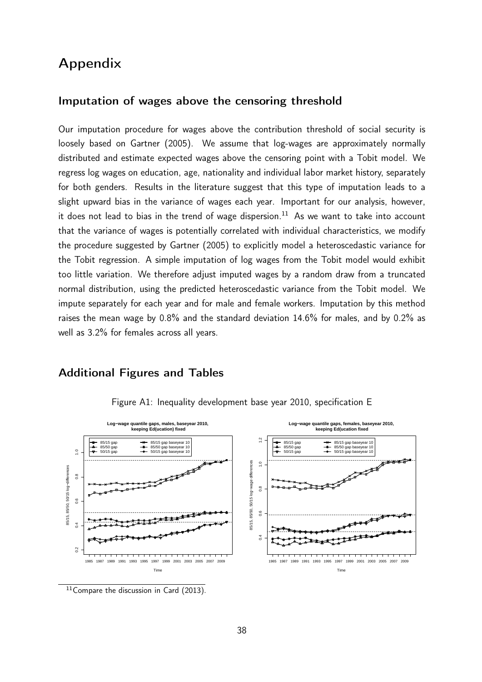## Appendix

#### Imputation of wages above the censoring threshold

Our imputation procedure for wages above the contribution threshold of social security is loosely based on Gartner (2005). We assume that log-wages are approximately normally distributed and estimate expected wages above the censoring point with a Tobit model. We regress log wages on education, age, nationality and individual labor market history, separately for both genders. Results in the literature suggest that this type of imputation leads to a slight upward bias in the variance of wages each year. Important for our analysis, however, it does not lead to bias in the trend of wage dispersion.<sup>11</sup> As we want to take into account that the variance of wages is potentially correlated with individual characteristics, we modify the procedure suggested by Gartner (2005) to explicitly model a heteroscedastic variance for the Tobit regression. A simple imputation of log wages from the Tobit model would exhibit too little variation. We therefore adjust imputed wages by a random draw from a truncated normal distribution, using the predicted heteroscedastic variance from the Tobit model. We impute separately for each year and for male and female workers. Imputation by this method raises the mean wage by 0.8% and the standard deviation 14.6% for males, and by 0.2% as well as 3.2% for females across all years.

### Additional Figures and Tables



Figure A1: Inequality development base year 2010, specification E

<sup>11</sup> Compare the discussion in Card (2013).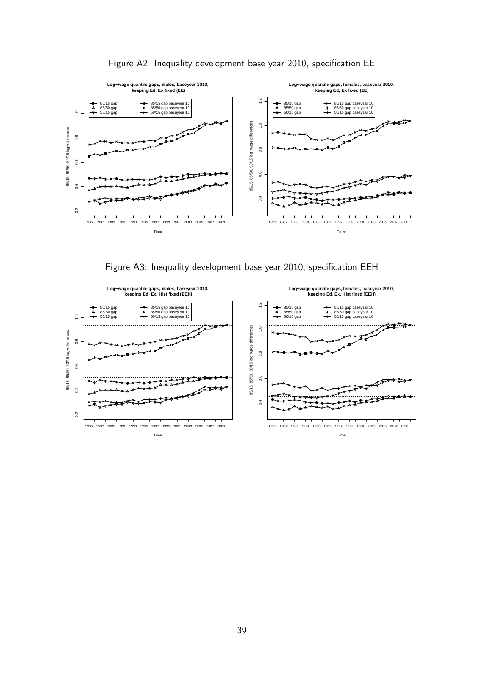

Figure A2: Inequality development base year 2010, specification EE

Figure A3: Inequality development base year 2010, specification EEH

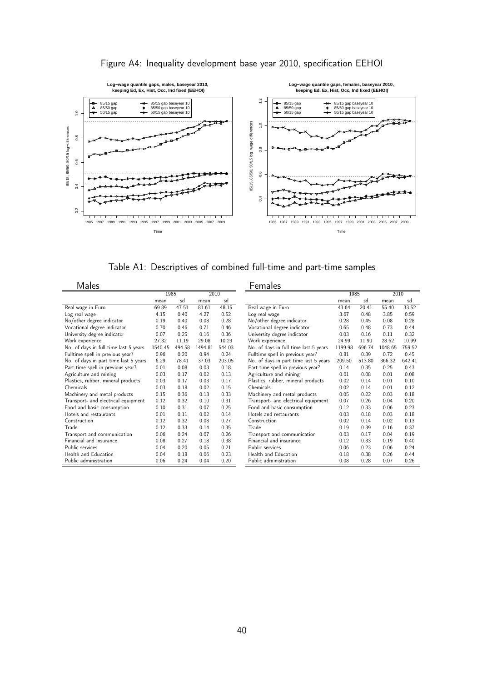

Figure A4: Inequality development base year 2010, specification EEHOI

Table A1: Descriptives of combined full-time and part-time samples

Males **Females** 

| .                                     | 1985    |        | 2010    |        |
|---------------------------------------|---------|--------|---------|--------|
|                                       | mean    | sd     | mean    | sd     |
| Real wage in Euro                     | 69.89   | 47.51  | 81.61   | 48.15  |
| Log real wage                         | 4.15    | 0.40   | 4.27    | 0.52   |
| No/other degree indicator             | 0.19    | 0.40   | 0.08    | 0.28   |
| Vocational degree indicator           | 0.70    | 0.46   | 0.71    | 0.46   |
| University degree indicator           | 0.07    | 0.25   | 0.16    | 0.36   |
| Work experience                       | 27.32   | 11.19  | 29.08   | 10.23  |
| No. of days in full time last 5 years | 1540.45 | 494.58 | 1494.81 | 544.03 |
| Fulltime spell in previous year?      | 0.96    | 0.20   | 0.94    | 0.24   |
| No. of days in part time last 5 years | 6.29    | 78.41  | 37.03   | 203.05 |
| Part-time spell in previous year?     | 0.01    | 0.08   | 0.03    | 0.18   |
| Agriculture and mining                | 0.03    | 0.17   | 0.02    | 0.13   |
| Plastics, rubber, mineral products    | 0.03    | 0.17   | 0.03    | 0.17   |
| Chemicals                             | 0.03    | 0.18   | 0.02    | 0.15   |
| Machinery and metal products          | 0.15    | 0.36   | 0.13    | 0.33   |
| Transport- and electrical equipment   | 0.12    | 0.32   | 0.10    | 0.31   |
| Food and basic consumption            | 0.10    | 0.31   | 0.07    | 0.25   |
| Hotels and restaurants                | 0.01    | 0.11   | 0.02    | 0.14   |
| Construction                          | 0.12    | 0.32   | 0.08    | 0.27   |
| Trade                                 | 0.12    | 0.33   | 0.14    | 0.35   |
| Transport and communication           | 0.06    | 0.24   | 0.07    | 0.26   |
| Financial and insurance               | 0.08    | 0.27   | 0.18    | 0.38   |
| Public services                       | 0.04    | 0.20   | 0.05    | 0.21   |
| Health and Education                  | 0.04    | 0.18   | 0.06    | 0.23   |
| Public administration                 | 0.06    | 0.24   | 0.04    | 0.20   |

| <b>CHIQICS</b>                        |         |        |         |        |  |
|---------------------------------------|---------|--------|---------|--------|--|
|                                       | 1985    |        | 2010    |        |  |
|                                       | mean    | sd     | mean    | sd     |  |
| Real wage in Euro                     | 43.64   | 20.41  | 55.40   | 33.52  |  |
| Log real wage                         | 3.67    | 0.48   | 3.85    | 0.59   |  |
| No/other degree indicator             | 0.28    | 0.45   | 0.08    | 0.28   |  |
| Vocational degree indicator           | 0.65    | 0.48   | 0.73    | 0.44   |  |
| University degree indicator           | 0.03    | 0.16   | 0.11    | 0.32   |  |
| Work experience                       | 24.99   | 11.90  | 28.62   | 10.99  |  |
| No. of days in full time last 5 years | 1199.98 | 696.74 | 1048.65 | 759.52 |  |
| Fulltime spell in previous year?      | 0.81    | 0.39   | 0.72    | 0.45   |  |
| No. of days in part time last 5 years | 209.50  | 513.80 | 366.32  | 642.41 |  |
| Part-time spell in previous year?     | 0.14    | 0.35   | 0.25    | 0.43   |  |
| Agriculture and mining                | 0.01    | 0.08   | 0.01    | 0.08   |  |
| Plastics, rubber, mineral products    | 0.02    | 0.14   | 0.01    | 0.10   |  |
| Chemicals                             | 0.02    | 0.14   | 0.01    | 0.12   |  |
| Machinery and metal products          | 0.05    | 0.22   | 0.03    | 0.18   |  |
| Transport- and electrical equipment   | 0.07    | 0.26   | 0.04    | 0.20   |  |
| Food and basic consumption            | 0.12    | 0.33   | 0.06    | 0.23   |  |
| Hotels and restaurants                | 0.03    | 0.18   | 0.03    | 0.18   |  |
| Construction                          | 0.02    | 0.14   | 0.02    | 0.13   |  |
| Trade                                 | 0.19    | 0.39   | 0.16    | 0.37   |  |
| Transport and communication           | 0.03    | 0.17   | 0.04    | 0.19   |  |
| Financial and insurance               | 0.12    | 0.33   | 0.19    | 0.40   |  |
| Public services                       | 0.06    | 0.23   | 0.06    | 0.24   |  |
| Health and Education                  | 0.18    | 0.38   | 0.26    | 0.44   |  |
| Public administration                 | 0.08    | 0.28   | 0.07    | 0.26   |  |